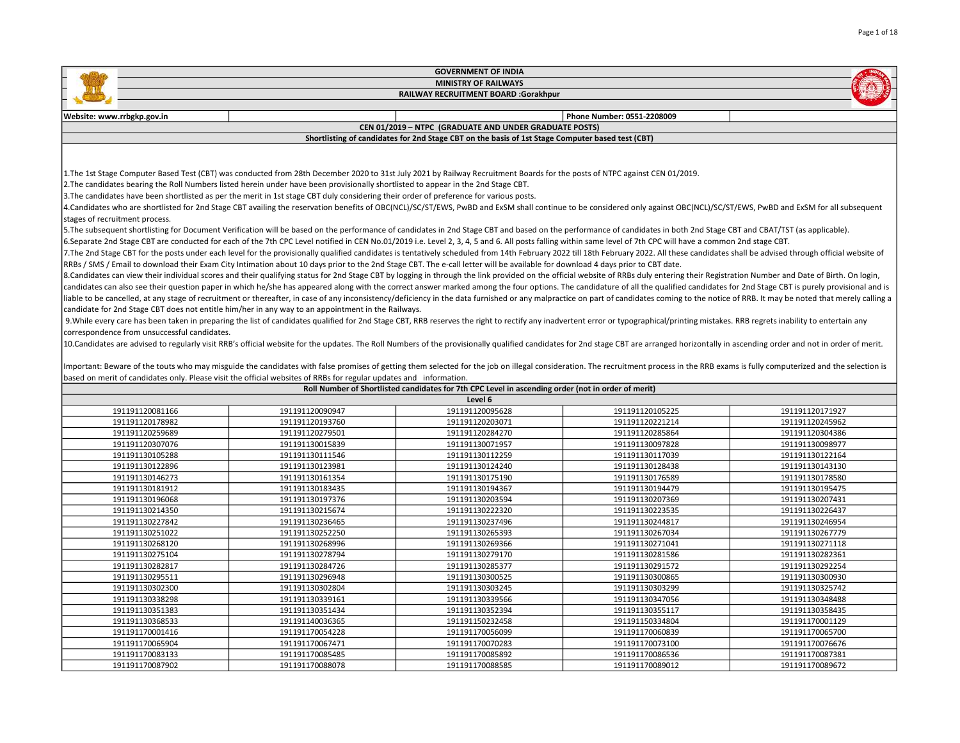|                                              |                                                                                                                                                                                | <b>GOVERNMENT OF INDIA</b>                                                                         |                                                                                                                                                                                                                                |                 |  |
|----------------------------------------------|--------------------------------------------------------------------------------------------------------------------------------------------------------------------------------|----------------------------------------------------------------------------------------------------|--------------------------------------------------------------------------------------------------------------------------------------------------------------------------------------------------------------------------------|-----------------|--|
|                                              |                                                                                                                                                                                | <b>MINISTRY OF RAILWAYS</b>                                                                        |                                                                                                                                                                                                                                |                 |  |
|                                              |                                                                                                                                                                                | RAILWAY RECRUITMENT BOARD :Gorakhpur                                                               |                                                                                                                                                                                                                                |                 |  |
|                                              |                                                                                                                                                                                |                                                                                                    |                                                                                                                                                                                                                                |                 |  |
| Website: www.rrbgkp.gov.in                   |                                                                                                                                                                                |                                                                                                    | Phone Number: 0551-2208009                                                                                                                                                                                                     |                 |  |
|                                              |                                                                                                                                                                                | CEN 01/2019 - NTPC (GRADUATE AND UNDER GRADUATE POSTS)                                             |                                                                                                                                                                                                                                |                 |  |
|                                              | Shortlisting of candidates for 2nd Stage CBT on the basis of 1st Stage Computer based test (CBT)                                                                               |                                                                                                    |                                                                                                                                                                                                                                |                 |  |
|                                              |                                                                                                                                                                                |                                                                                                    |                                                                                                                                                                                                                                |                 |  |
|                                              |                                                                                                                                                                                |                                                                                                    |                                                                                                                                                                                                                                |                 |  |
|                                              | 1. The 1st Stage Computer Based Test (CBT) was conducted from 28th December 2020 to 31st July 2021 by Railway Recruitment Boards for the posts of NTPC against CEN 01/2019.    |                                                                                                    |                                                                                                                                                                                                                                |                 |  |
|                                              | 2. The candidates bearing the Roll Numbers listed herein under have been provisionally shortlisted to appear in the 2nd Stage CBT.                                             |                                                                                                    |                                                                                                                                                                                                                                |                 |  |
|                                              | 3. The candidates have been shortlisted as per the merit in 1st stage CBT duly considering their order of preference for various posts.                                        |                                                                                                    |                                                                                                                                                                                                                                |                 |  |
|                                              |                                                                                                                                                                                |                                                                                                    | 4.Candidates who are shortlisted for 2nd Stage CBT availing the reservation benefits of OBC(NCL)/SC/ST/EWS, PwBD and ExSM shall continue to be considered only against OBC(NCL)/SC/ST/EWS, PwBD and ExSM for all subsequent    |                 |  |
| stages of recruitment process.               |                                                                                                                                                                                |                                                                                                    |                                                                                                                                                                                                                                |                 |  |
|                                              |                                                                                                                                                                                |                                                                                                    | 5. The subsequent shortlisting for Document Verification will be based on the performance of candidates in 2nd Stage CBT and based on the performance of candidates in both 2nd Stage CBT and CBAT/TST (as applicable).        |                 |  |
|                                              |                                                                                                                                                                                |                                                                                                    | 6.Separate 2nd Stage CBT are conducted for each of the 7th CPC Level notified in CEN No.01/2019 i.e. Level 2, 3, 4, 5 and 6. All posts falling within same level of 7th CPC will have a common 2nd stage CBT.                  |                 |  |
|                                              |                                                                                                                                                                                |                                                                                                    | 7. The 2nd Stage CBT for the posts under each level for the provisionally qualified candidates is tentatively scheduled from 14th February 2022 till 18th February 2022. All these candidates shall be advised through officia |                 |  |
|                                              | RRBs / SMS / Email to download their Exam City Intimation about 10 days prior to the 2nd Stage CBT. The e-call letter will be available for download 4 days prior to CBT date. |                                                                                                    |                                                                                                                                                                                                                                |                 |  |
|                                              |                                                                                                                                                                                |                                                                                                    | 8.Candidates can view their individual scores and their qualifying status for 2nd Stage CBT by logging in through the link provided on the official website of RRBs duly entering their Registration Number and Date of Birth. |                 |  |
|                                              |                                                                                                                                                                                |                                                                                                    | candidates can also see their question paper in which he/she has appeared along with the correct answer marked among the four options. The candidature of all the qualified candidates for 2nd Stage CBT is purely provisional |                 |  |
|                                              |                                                                                                                                                                                |                                                                                                    | liable to be cancelled, at any stage of recruitment or thereafter, in case of any inconsistency/deficiency in the data furnished or any malpractice on part of candidates coming to the notice of RRB. It may be noted that me |                 |  |
|                                              | candidate for 2nd Stage CBT does not entitle him/her in any way to an appointment in the Railways.                                                                             |                                                                                                    |                                                                                                                                                                                                                                |                 |  |
|                                              |                                                                                                                                                                                |                                                                                                    | 9. While every care has been taken in preparing the list of candidates qualified for 2nd Stage CBT, RRB reserves the right to rectify any inadvertent error or typographical/printing mistakes. RRB regrets inability to enter |                 |  |
| correspondence from unsuccessful candidates. |                                                                                                                                                                                |                                                                                                    |                                                                                                                                                                                                                                |                 |  |
|                                              |                                                                                                                                                                                |                                                                                                    | 10. Candidates are advised to regularly visit RRB's official website for the updates. The Roll Numbers of the provisionally qualified candidates for 2nd stage CBT are arranged horizontally in ascending order and not in ord |                 |  |
|                                              |                                                                                                                                                                                |                                                                                                    |                                                                                                                                                                                                                                |                 |  |
|                                              |                                                                                                                                                                                |                                                                                                    | Important: Beware of the touts who may misguide the candidates with false promises of getting them selected for the job on illegal consideration. The recruitment process in the RRB exams is fully computerized and the selec |                 |  |
|                                              | based on merit of candidates only. Please visit the official websites of RRBs for regular updates and information.                                                             |                                                                                                    |                                                                                                                                                                                                                                |                 |  |
|                                              |                                                                                                                                                                                | Roll Number of Shortlisted candidates for 7th CPC Level in ascending order (not in order of merit) |                                                                                                                                                                                                                                |                 |  |
|                                              |                                                                                                                                                                                | Level 6                                                                                            |                                                                                                                                                                                                                                |                 |  |
| 191191120081166                              | 191191120090947                                                                                                                                                                | 191191120095628                                                                                    | 191191120105225                                                                                                                                                                                                                | 191191120171927 |  |
| 191191120178982                              | 191191120193760                                                                                                                                                                | 191191120203071                                                                                    | 191191120221214                                                                                                                                                                                                                | 191191120245962 |  |
| 191191120259689                              | 191191120279501                                                                                                                                                                | 191191120284270                                                                                    | 191191120285864                                                                                                                                                                                                                | 191191120304386 |  |
| 191191120307076                              | 191191130015839                                                                                                                                                                | 191191130071957                                                                                    | 191191130097828                                                                                                                                                                                                                | 191191130098977 |  |
| 191191130105288                              | 191191130111546                                                                                                                                                                | 191191130112259                                                                                    | 191191130117039                                                                                                                                                                                                                | 191191130122164 |  |
| 191191130122896                              | 191191130123981                                                                                                                                                                | 191191130124240                                                                                    | 191191130128438                                                                                                                                                                                                                | 191191130143130 |  |
| 191191130146273                              | 191191130161354                                                                                                                                                                | 191191130175190                                                                                    | 191191130176589                                                                                                                                                                                                                | 191191130178580 |  |
| 191191130181912                              | 191191130183435                                                                                                                                                                | 191191130194367                                                                                    | 191191130194479                                                                                                                                                                                                                | 191191130195475 |  |
| 191191130196068                              | 191191130197376                                                                                                                                                                | 191191130203594                                                                                    | 191191130207369                                                                                                                                                                                                                | 191191130207431 |  |
| 191191130214350                              | 191191130215674                                                                                                                                                                | 191191130222320                                                                                    | 191191130223535                                                                                                                                                                                                                | 191191130226437 |  |
| 191191130227842                              | 191191130236465                                                                                                                                                                | 191191130237496                                                                                    | 191191130244817                                                                                                                                                                                                                | 191191130246954 |  |
| 191191130251022                              | 191191130252250                                                                                                                                                                | 191191130265393                                                                                    | 191191130267034                                                                                                                                                                                                                | 191191130267779 |  |
| 191191130268120                              | 191191130268996                                                                                                                                                                | 191191130269366                                                                                    | 191191130271041                                                                                                                                                                                                                | 191191130271118 |  |
| 191191130275104                              | 191191130278794                                                                                                                                                                | 191191130279170                                                                                    | 191191130281586                                                                                                                                                                                                                | 191191130282361 |  |
| 191191130282817                              | 191191130284726                                                                                                                                                                | 191191130285377                                                                                    | 191191130291572                                                                                                                                                                                                                | 191191130292254 |  |
| 191191130295511                              | 191191130296948                                                                                                                                                                | 191191130300525                                                                                    | 191191130300865                                                                                                                                                                                                                | 191191130300930 |  |
| 191191130302300                              | 191191130302804                                                                                                                                                                | 191191130303245                                                                                    | 191191130303299                                                                                                                                                                                                                | 191191130325742 |  |
| 191191130338298                              | 191191130339161                                                                                                                                                                | 191191130339566                                                                                    | 191191130347056                                                                                                                                                                                                                | 191191130348488 |  |
| 191191130351383                              | 191191130351434                                                                                                                                                                | 191191130352394                                                                                    | 191191130355117                                                                                                                                                                                                                | 191191130358435 |  |

 191191140036365 191191150232458 191191150334804 191191170001129 191191170054228 191191170056099 191191170060839 191191170065700 191191170065904 | 191191170067471 | 191191170070283 | 191191170073100 | 191191170076676 191191170085485 191191170085892 191191170086536 191191170087381 191191170088078 191191170088585 191191170089012 191191170089672

Page 1 of 18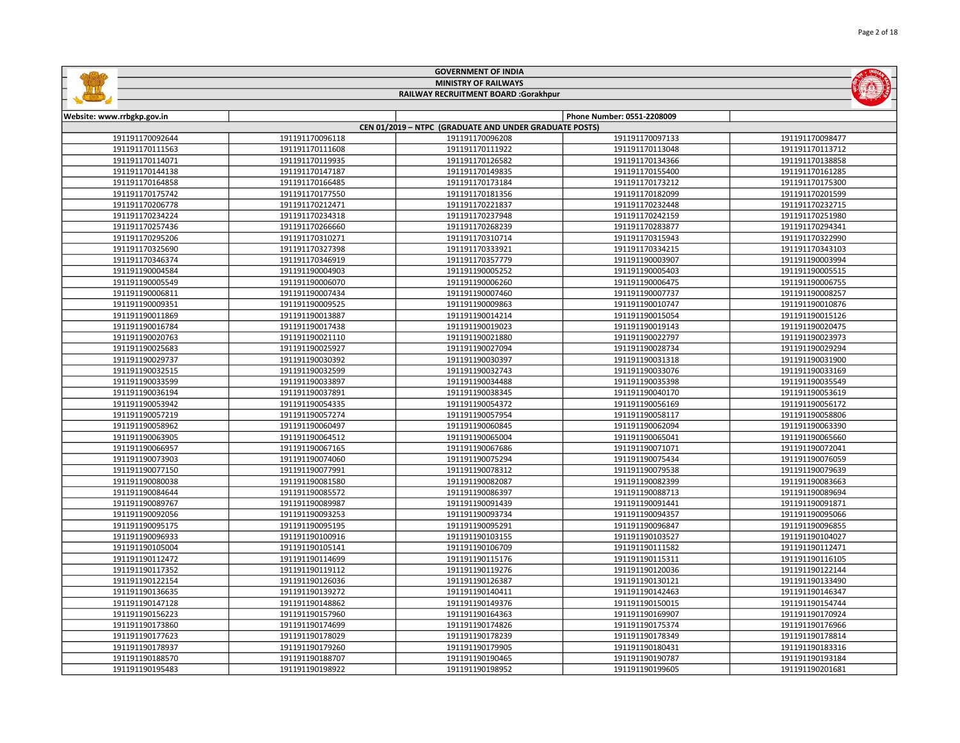| <b>MINISTRY OF RAILWAYS</b><br>$\left( \mathbf{v}\right)$<br>RAILWAY RECRUITMENT BOARD :Gorakhpur |                 |                                                        |                            |                 |
|---------------------------------------------------------------------------------------------------|-----------------|--------------------------------------------------------|----------------------------|-----------------|
| Website: www.rrbgkp.gov.in                                                                        |                 |                                                        | Phone Number: 0551-2208009 |                 |
|                                                                                                   |                 | CEN 01/2019 - NTPC (GRADUATE AND UNDER GRADUATE POSTS) |                            |                 |
| 191191170092644                                                                                   | 191191170096118 | 191191170096208                                        | 191191170097133            | 191191170098477 |
| 191191170111563                                                                                   | 191191170111608 | 191191170111922                                        | 191191170113048            | 191191170113712 |
| 191191170114071                                                                                   | 191191170119935 | 191191170126582                                        | 191191170134366            | 191191170138858 |
| 191191170144138                                                                                   | 191191170147187 | 191191170149835                                        | 191191170155400            | 191191170161285 |
| 191191170164858                                                                                   | 191191170166485 | 191191170173184                                        | 191191170173212            | 191191170175300 |
| 191191170175742                                                                                   | 191191170177550 | 191191170181356                                        | 191191170182099            | 191191170201599 |
| 191191170206778                                                                                   | 191191170212471 | 191191170221837                                        | 191191170232448            | 191191170232715 |
| 191191170234224                                                                                   | 191191170234318 | 191191170237948                                        | 191191170242159            | 191191170251980 |
| 191191170257436                                                                                   | 191191170266660 | 191191170268239                                        | 191191170283877            | 191191170294341 |
| 191191170295206                                                                                   | 191191170310271 | 191191170310714                                        | 191191170315943            | 191191170322990 |
| 191191170325690                                                                                   | 191191170327398 | 191191170333921                                        | 191191170334215            | 191191170343103 |
| 191191170346374                                                                                   | 191191170346919 | 191191170357779                                        | 191191190003907            | 191191190003994 |
| 191191190004584                                                                                   | 191191190004903 | 191191190005252                                        | 191191190005403            | 191191190005515 |
| 191191190005549                                                                                   | 191191190006070 | 191191190006260                                        | 191191190006475            | 191191190006755 |
| 191191190006811                                                                                   | 191191190007434 | 191191190007460                                        | 191191190007737            | 191191190008257 |
| 191191190009351                                                                                   | 191191190009525 | 191191190009863                                        | 191191190010747            | 191191190010876 |
| 191191190011869                                                                                   | 191191190013887 | 191191190014214                                        | 191191190015054            | 191191190015126 |
| 191191190016784                                                                                   | 191191190017438 | 191191190019023                                        | 191191190019143            | 191191190020475 |
| 191191190020763                                                                                   | 191191190021110 | 191191190021880                                        | 191191190022797            | 191191190023973 |
| 191191190025683                                                                                   | 191191190025927 | 191191190027094                                        | 191191190028734            | 191191190029294 |
| 191191190029737                                                                                   | 191191190030392 | 191191190030397                                        | 191191190031318            | 191191190031900 |
| 191191190032515                                                                                   | 191191190032599 | 191191190032743                                        | 191191190033076            | 191191190033169 |
| 191191190033599                                                                                   | 191191190033897 | 191191190034488                                        | 191191190035398            | 191191190035549 |
| 191191190036194                                                                                   | 191191190037891 | 191191190038345                                        | 191191190040170            | 191191190053619 |
| 191191190053942                                                                                   | 191191190054335 | 191191190054372                                        | 191191190056169            | 191191190056172 |
| 191191190057219                                                                                   | 191191190057274 | 191191190057954                                        | 191191190058117            | 191191190058806 |
| 191191190058962                                                                                   | 191191190060497 | 191191190060845                                        | 191191190062094            | 191191190063390 |
| 191191190063905                                                                                   | 191191190064512 | 191191190065004                                        | 191191190065041            | 191191190065660 |
| 191191190066957                                                                                   | 191191190067165 | 191191190067686                                        | 191191190071071            | 191191190072041 |
| 191191190073903                                                                                   | 191191190074060 | 191191190075294                                        | 191191190075434            | 191191190076059 |
| 191191190077150                                                                                   | 191191190077991 | 191191190078312                                        | 191191190079538            | 191191190079639 |
| 191191190080038                                                                                   | 191191190081580 | 191191190082087                                        | 191191190082399            | 191191190083663 |
| 191191190084644                                                                                   | 191191190085572 | 191191190086397                                        | 191191190088713            | 191191190089694 |
| 191191190089767                                                                                   | 191191190089987 | 191191190091439                                        | 191191190091441            | 191191190091871 |
| 191191190092056                                                                                   | 191191190093253 | 191191190093734                                        | 191191190094357            | 191191190095066 |
| 191191190095175                                                                                   | 191191190095195 | 191191190095291                                        | 191191190096847            | 191191190096855 |
| 191191190096933                                                                                   | 191191190100916 | 191191190103155                                        | 191191190103527            | 191191190104027 |
| 191191190105004                                                                                   | 191191190105141 | 191191190106709                                        | 191191190111582            | 191191190112471 |
| 191191190112472                                                                                   | 191191190114699 | 191191190115176                                        | 191191190115311            | 191191190116105 |
| 191191190117352                                                                                   | 191191190119112 | 191191190119276                                        | 191191190120036            | 191191190122144 |
| 191191190122154                                                                                   | 191191190126036 | 191191190126387                                        | 191191190130121            | 191191190133490 |
| 191191190136635                                                                                   | 191191190139272 | 191191190140411                                        | 191191190142463            | 191191190146347 |
| 191191190147128                                                                                   | 191191190148862 | 191191190149376                                        | 191191190150015            | 191191190154744 |
| 191191190156223                                                                                   | 191191190157960 | 191191190164363                                        | 191191190169907            | 191191190170924 |
| 191191190173860                                                                                   | 191191190174699 | 191191190174826                                        | 191191190175374            | 191191190176966 |
| 191191190177623                                                                                   | 191191190178029 | 191191190178239                                        | 191191190178349            | 191191190178814 |
| 191191190178937                                                                                   | 191191190179260 | 191191190179905                                        | 191191190180431            | 191191190183316 |
| 191191190188570                                                                                   | 191191190188707 | 191191190190465                                        | 191191190190787            | 191191190193184 |

191191190198922 191191190198952 191191190199605 191191190201681

GOVERNMENT OF INDIA

**Sallida**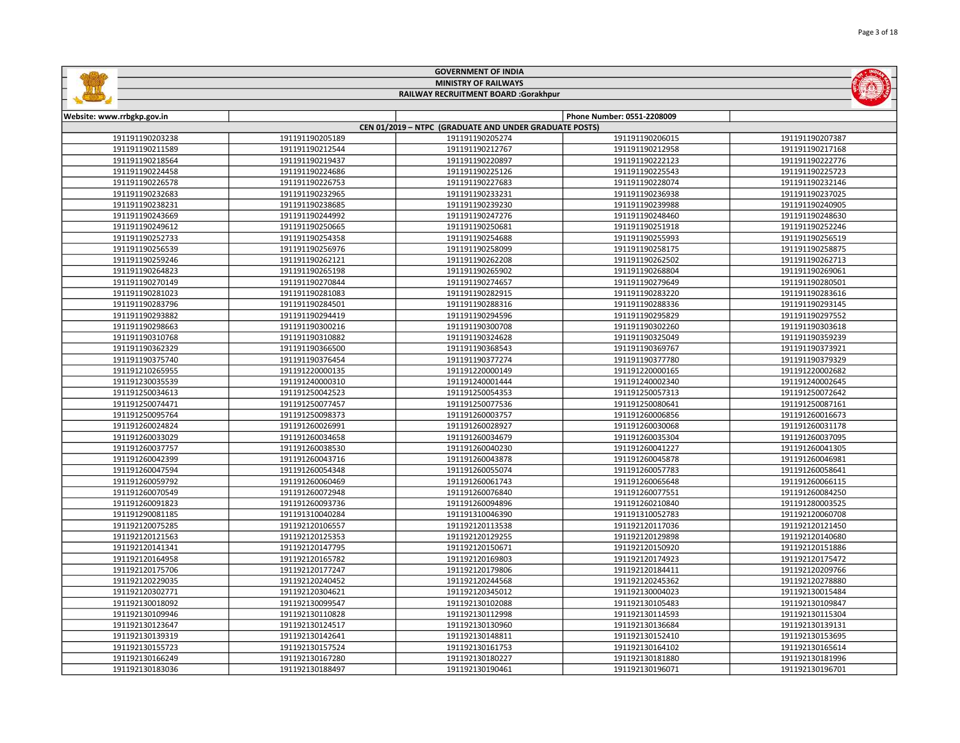| <b>MINISTRY OF RAILWAYS</b><br>$\left( \Omega \right)$<br>RAILWAY RECRUITMENT BOARD :Gorakhpur |                 |                                                        |                            |                 |
|------------------------------------------------------------------------------------------------|-----------------|--------------------------------------------------------|----------------------------|-----------------|
|                                                                                                |                 |                                                        |                            |                 |
| Website: www.rrbgkp.gov.in                                                                     |                 | CEN 01/2019 - NTPC (GRADUATE AND UNDER GRADUATE POSTS) | Phone Number: 0551-2208009 |                 |
| 191191190203238                                                                                | 191191190205189 | 191191190205274                                        | 191191190206015            | 191191190207387 |
| 191191190211589                                                                                | 191191190212544 | 191191190212767                                        | 191191190212958            | 191191190217168 |
| 191191190218564                                                                                | 191191190219437 | 191191190220897                                        | 191191190222123            | 191191190222776 |
| 191191190224458                                                                                | 191191190224686 | 191191190225126                                        | 191191190225543            | 191191190225723 |
| 191191190226578                                                                                | 191191190226753 | 191191190227683                                        | 191191190228074            | 191191190232146 |
| 191191190232683                                                                                | 191191190232965 | 191191190233231                                        | 191191190236938            | 191191190237025 |
| 191191190238231                                                                                | 191191190238685 | 191191190239230                                        | 191191190239988            | 191191190240905 |
| 191191190243669                                                                                | 191191190244992 | 191191190247276                                        | 191191190248460            | 191191190248630 |
| 191191190249612                                                                                | 191191190250665 | 191191190250681                                        | 191191190251918            | 191191190252246 |
| 191191190252733                                                                                | 191191190254358 | 191191190254688                                        | 191191190255993            | 191191190256519 |
| 191191190256539                                                                                | 191191190256976 | 191191190258099                                        | 191191190258175            | 191191190258875 |
| 191191190259246                                                                                | 191191190262121 | 191191190262208                                        | 191191190262502            | 191191190262713 |
| 191191190264823                                                                                | 191191190265198 | 191191190265902                                        | 191191190268804            | 191191190269061 |
| 191191190270149                                                                                | 191191190270844 | 191191190274657                                        | 191191190279649            | 191191190280501 |
| 191191190281023                                                                                | 191191190281083 | 191191190282915                                        | 191191190283220            | 191191190283616 |
| 191191190283796                                                                                | 191191190284501 | 191191190288316                                        | 191191190288336            | 191191190293145 |
| 191191190293882                                                                                | 191191190294419 | 191191190294596                                        | 191191190295829            | 191191190297552 |
| 191191190298663                                                                                | 191191190300216 | 191191190300708                                        | 191191190302260            | 191191190303618 |
| 191191190310768                                                                                | 191191190310882 | 191191190324628                                        | 191191190325049            | 191191190359239 |
| 191191190362329                                                                                | 191191190366500 | 191191190368543                                        | 191191190369767            | 191191190373921 |
| 191191190375740                                                                                | 191191190376454 | 191191190377274                                        | 191191190377780            | 191191190379329 |
| 191191210265955                                                                                | 191191220000135 | 191191220000149                                        | 191191220000165            | 191191220002682 |
| 191191230035539                                                                                | 191191240000310 | 191191240001444                                        | 191191240002340            | 191191240002645 |
| 191191250034613                                                                                | 191191250042523 | 191191250054353                                        | 191191250057313            | 191191250072642 |
| 191191250074471                                                                                | 191191250077457 | 191191250077536                                        | 191191250080641            | 191191250087161 |
| 191191250095764                                                                                | 191191250098373 | 191191260003757                                        | 191191260006856            | 191191260016673 |
| 191191260024824                                                                                | 191191260026991 | 191191260028927                                        | 191191260030068            | 191191260031178 |
| 191191260033029                                                                                | 191191260034658 | 191191260034679                                        | 191191260035304            | 191191260037095 |
| 191191260037757                                                                                | 191191260038530 | 191191260040230                                        | 191191260041227            | 191191260041305 |
| 191191260042399                                                                                | 191191260043716 | 191191260043878                                        | 191191260045878            | 191191260046981 |
| 191191260047594                                                                                | 191191260054348 | 191191260055074                                        | 191191260057783            | 191191260058641 |
| 191191260059792                                                                                | 191191260060469 | 191191260061743                                        | 191191260065648            | 191191260066115 |
| 191191260070549                                                                                | 191191260072948 | 191191260076840                                        | 191191260077551            | 191191260084250 |
| 191191260091823                                                                                | 191191260093736 | 191191260094896                                        | 191191260210840            | 191191280003525 |
| 191191290081185                                                                                | 191191310040284 | 191191310046390                                        | 191191310052783            | 191192120060708 |
| 191192120075285                                                                                | 191192120106557 | 191192120113538                                        | 191192120117036            | 191192120121450 |
| 191192120121563                                                                                | 191192120125353 | 191192120129255                                        | 191192120129898            | 191192120140680 |
| 191192120141341                                                                                | 191192120147795 | 191192120150671                                        | 191192120150920            | 191192120151886 |
| 191192120164958                                                                                | 191192120165782 | 191192120169803                                        | 191192120174923            | 191192120175472 |
| 191192120175706                                                                                | 191192120177247 | 191192120179806                                        | 191192120184411            | 191192120209766 |
| 191192120229035                                                                                | 191192120240452 | 191192120244568                                        | 191192120245362            | 191192120278880 |
| 191192120302771                                                                                | 191192120304621 | 191192120345012                                        | 191192130004023            | 191192130015484 |
| 191192130018092                                                                                | 191192130099547 | 191192130102088                                        | 191192130105483            | 191192130109847 |
| 191192130109946                                                                                | 191192130110828 | 191192130112998                                        | 191192130114593            | 191192130115304 |
| 191192130123647                                                                                | 191192130124517 | 191192130130960                                        | 191192130136684            | 191192130139131 |
| 191192130139319                                                                                | 191192130142641 | 191192130148811                                        | 191192130152410            | 191192130153695 |
| 191192130155723                                                                                | 191192130157524 | 191192130161753                                        | 191192130164102            | 191192130165614 |
| 191192130166249                                                                                | 191192130167280 | 191192130180227                                        | 191192130181880            | 191192130181996 |

191192130188497 191192130190461 191192130196071 191192130196701

GOVERNMENT OF INDIA

**Safelling** 

**MOLLA**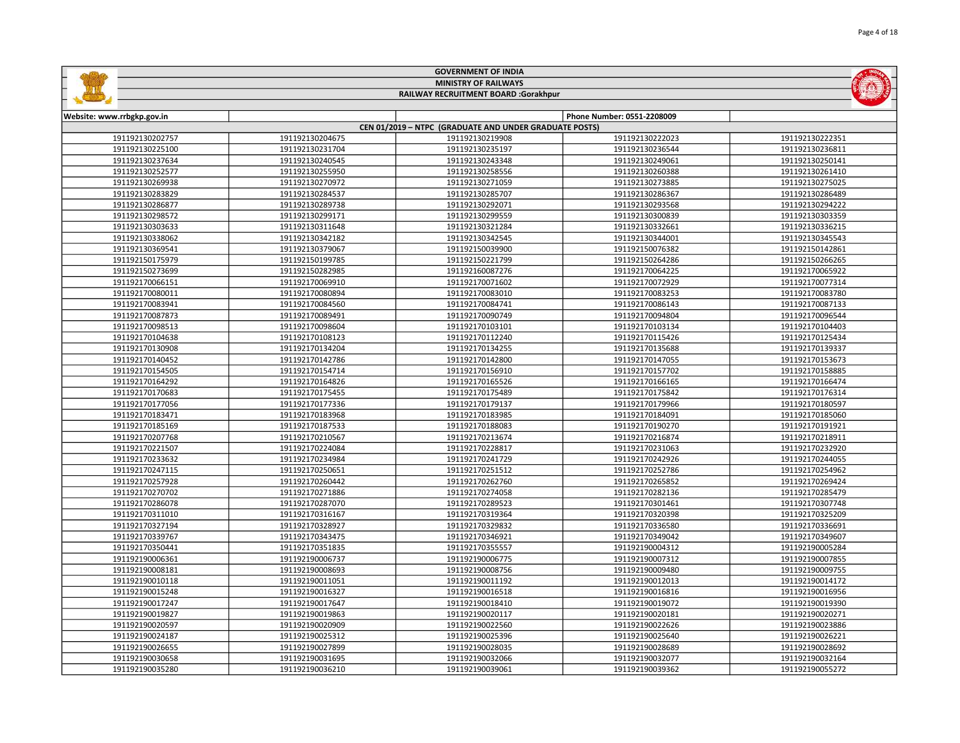|                            |                 | <b>GOVERNMENT OF INDIA</b>                             |                            |                 |
|----------------------------|-----------------|--------------------------------------------------------|----------------------------|-----------------|
|                            |                 | <b>MINISTRY OF RAILWAYS</b>                            |                            |                 |
|                            |                 | RAILWAY RECRUITMENT BOARD :Gorakhpur                   |                            |                 |
|                            |                 |                                                        |                            |                 |
| Website: www.rrbgkp.gov.in |                 |                                                        | Phone Number: 0551-2208009 |                 |
|                            |                 | CEN 01/2019 - NTPC (GRADUATE AND UNDER GRADUATE POSTS) |                            |                 |
| 191192130202757            | 191192130204675 | 191192130219908                                        | 191192130222023            | 191192130222351 |
| 191192130225100            | 191192130231704 | 191192130235197                                        | 191192130236544            | 191192130236811 |
| 191192130237634            | 191192130240545 | 191192130243348                                        | 191192130249061            | 191192130250141 |
| 191192130252577            | 191192130255950 | 191192130258556                                        | 191192130260388            | 191192130261410 |
| 191192130269938            | 191192130270972 | 191192130271059                                        | 191192130273885            | 191192130275025 |
| 191192130283829            | 191192130284537 | 191192130285707                                        | 191192130286367            | 191192130286489 |
| 191192130286877            | 191192130289738 | 191192130292071                                        | 191192130293568            | 191192130294222 |
| 191192130298572            | 191192130299171 | 191192130299559                                        | 191192130300839            | 191192130303359 |
| 191192130303633            | 191192130311648 | 191192130321284                                        | 191192130332661            | 191192130336215 |
| 191192130338062            | 191192130342182 | 191192130342545                                        | 191192130344001            | 191192130345543 |
| 191192130369541            | 191192130379067 | 191192150039900                                        | 191192150076382            | 191192150142861 |
| 191192150175979            | 191192150199785 | 191192150221799                                        | 191192150264286            | 191192150266265 |
| 191192150273699            | 191192150282985 | 191192160087276                                        | 191192170064225            | 191192170065922 |
| 191192170066151            | 191192170069910 | 191192170071602                                        | 191192170072929            | 191192170077314 |
| 191192170080011            | 191192170080894 | 191192170083010                                        | 191192170083253            | 191192170083780 |
| 191192170083941            | 191192170084560 | 191192170084741                                        | 191192170086143            | 191192170087133 |
| 191192170087873            | 191192170089491 | 191192170090749                                        | 191192170094804            | 191192170096544 |
| 191192170098513            | 191192170098604 | 191192170103101                                        | 191192170103134            | 191192170104403 |
| 191192170104638            | 191192170108123 | 191192170112240                                        | 191192170115426            | 191192170125434 |
| 191192170130908            | 191192170134204 | 191192170134255                                        | 191192170135688            | 191192170139337 |
| 191192170140452            | 191192170142786 | 191192170142800                                        | 191192170147055            | 191192170153673 |
| 191192170154505            | 191192170154714 | 191192170156910                                        | 191192170157702            | 191192170158885 |
| 191192170164292            | 191192170164826 | 191192170165526                                        | 191192170166165            | 191192170166474 |
| 191192170170683            | 191192170175455 | 191192170175489                                        | 191192170175842            | 191192170176314 |
| 191192170177056            | 191192170177336 | 191192170179137                                        | 191192170179966            | 191192170180597 |
| 191192170183471            | 191192170183968 | 191192170183985                                        | 191192170184091            | 191192170185060 |
| 191192170185169            | 191192170187533 | 191192170188083                                        | 191192170190270            | 191192170191921 |
| 191192170207768            | 191192170210567 | 191192170213674                                        | 191192170216874            | 191192170218911 |
| 191192170221507            | 191192170224084 | 191192170228817                                        | 191192170231063            | 191192170232920 |
| 191192170233632            | 191192170234984 | 191192170241729                                        | 191192170242926            | 191192170244055 |
| 191192170247115            | 191192170250651 | 191192170251512                                        | 191192170252786            | 191192170254962 |
| 191192170257928            | 191192170260442 | 191192170262760                                        | 191192170265852            | 191192170269424 |
| 191192170270702            | 191192170271886 | 191192170274058                                        | 191192170282136            | 191192170285479 |
| 191192170286078            | 191192170287070 | 191192170289523                                        | 191192170301461            | 191192170307748 |
| 191192170311010            | 191192170316167 | 191192170319364                                        | 191192170320398            | 191192170325209 |
| 191192170327194            | 191192170328927 | 191192170329832                                        | 191192170336580            | 191192170336691 |
| 191192170339767            | 191192170343475 | 191192170346921                                        | 191192170349042            | 191192170349607 |
| 191192170350441            | 191192170351835 | 191192170355557                                        | 191192190004312            | 191192190005284 |
|                            |                 |                                                        |                            |                 |
| 191192190006361            | 191192190006737 | 191192190006775                                        | 191192190007312            | 191192190007855 |
| 191192190008181            | 191192190008693 | 191192190008756                                        | 191192190009480            | 191192190009755 |
| 191192190010118            | 191192190011051 | 191192190011192                                        | 191192190012013            | 191192190014172 |
| 191192190015248            | 191192190016327 | 191192190016518                                        | 191192190016816            | 191192190016956 |
| 191192190017247            | 191192190017647 | 191192190018410                                        | 191192190019072            | 191192190019390 |
| 191192190019827            | 191192190019863 | 191192190020117                                        | 191192190020181            | 191192190020271 |
| 191192190020597            | 191192190020909 | 191192190022560                                        | 191192190022626            | 191192190023886 |
| 191192190024187            | 191192190025312 | 191192190025396                                        | 191192190025640            | 191192190026221 |
| 191192190026655            | 191192190027899 | 191192190028035                                        | 191192190028689            | 191192190028692 |
| 191192190030658            | 191192190031695 | 191192190032066                                        | 191192190032077            | 191192190032164 |
| 191192190035280            | 191192190036210 | 191192190039061                                        | 191192190039362            | 191192190055272 |

GOVERNMENT OF INDIA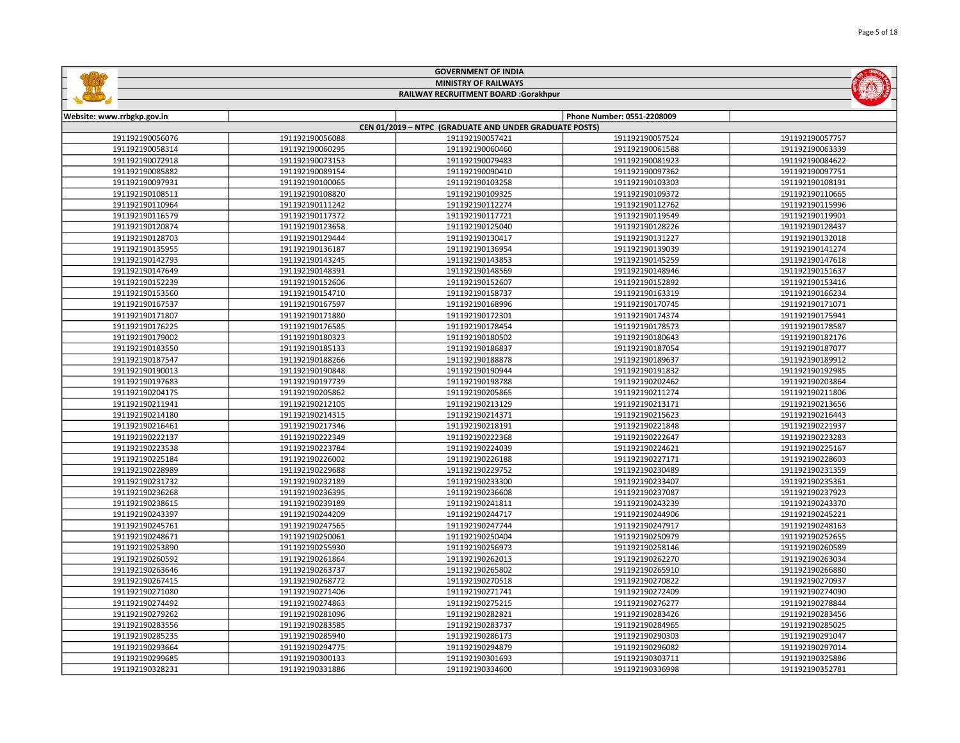|                            |                 | <b>MINISTRY OF RAILWAYS</b>                            |                            | (0)             |
|----------------------------|-----------------|--------------------------------------------------------|----------------------------|-----------------|
|                            |                 | <b>RAILWAY RECRUITMENT BOARD :Gorakhpur</b>            |                            |                 |
|                            |                 |                                                        |                            |                 |
| Website: www.rrbgkp.gov.in |                 | CEN 01/2019 - NTPC (GRADUATE AND UNDER GRADUATE POSTS) | Phone Number: 0551-2208009 |                 |
| 191192190056076            | 191192190056088 | 191192190057421                                        | 191192190057524            | 191192190057757 |
| 191192190058314            | 191192190060295 | 191192190060460                                        | 191192190061588            | 191192190063339 |
| 191192190072918            | 191192190073153 | 191192190079483                                        | 191192190081923            | 191192190084622 |
| 191192190085882            | 191192190089154 | 191192190090410                                        | 191192190097362            | 191192190097751 |
| 191192190097931            | 191192190100065 | 191192190103258                                        | 191192190103303            | 191192190108191 |
| 191192190108511            | 191192190108820 | 191192190109325                                        | 191192190109372            | 191192190110665 |
| 191192190110964            | 191192190111242 | 191192190112274                                        | 191192190112762            | 191192190115996 |
| 191192190116579            | 191192190117372 | 191192190117721                                        | 191192190119549            | 191192190119901 |
| 191192190120874            | 191192190123658 | 191192190125040                                        | 191192190128226            | 191192190128437 |
| 191192190128703            | 191192190129444 | 191192190130417                                        | 191192190131227            | 191192190132018 |
| 191192190135955            | 191192190136187 | 191192190136954                                        | 191192190139039            | 191192190141274 |
| 191192190142793            | 191192190143245 | 191192190143853                                        | 191192190145259            | 191192190147618 |
| 191192190147649            | 191192190148391 | 191192190148569                                        | 191192190148946            | 191192190151637 |
| 191192190152239            | 191192190152606 | 191192190152607                                        | 191192190152892            | 191192190153416 |
| 191192190153560            | 191192190154710 | 191192190158737                                        | 191192190163319            | 191192190166234 |
| 191192190167537            | 191192190167597 | 191192190168996                                        | 191192190170745            | 191192190171071 |
| 191192190171807            | 191192190171880 | 191192190172301                                        | 191192190174374            | 191192190175941 |
| 191192190176225            | 191192190176585 | 191192190178454                                        | 191192190178573            | 191192190178587 |
| 191192190179002            | 191192190180323 | 191192190180502                                        | 191192190180643            | 191192190182176 |
| 191192190183550            | 191192190185133 | 191192190186837                                        | 191192190187054            | 191192190187077 |
| 191192190187547            | 191192190188266 | 191192190188878                                        | 191192190189637            | 191192190189912 |
| 191192190190013            | 191192190190848 | 191192190190944                                        | 191192190191832            | 191192190192985 |
| 191192190197683            | 191192190197739 | 191192190198788                                        | 191192190202462            | 191192190203864 |
| 191192190204175            | 191192190205862 | 191192190205865                                        | 191192190211274            | 191192190211806 |
| 191192190211941            | 191192190212105 | 191192190213129                                        | 191192190213171            | 191192190213656 |
| 191192190214180            | 191192190214315 | 191192190214371                                        | 191192190215623            | 191192190216443 |
| 191192190216461            | 191192190217346 | 191192190218191                                        | 191192190221848            | 191192190221937 |
| 191192190222137            | 191192190222349 | 191192190222368                                        | 191192190222647            | 191192190223283 |
| 191192190223538            | 191192190223784 | 191192190224039                                        | 191192190224621            | 191192190225167 |
| 191192190225184            | 191192190226002 | 191192190226188                                        | 191192190227171            | 191192190228603 |
| 191192190228989            | 191192190229688 | 191192190229752                                        | 191192190230489            | 191192190231359 |
| 191192190231732            | 191192190232189 | 191192190233300                                        | 191192190233407            | 191192190235361 |
| 191192190236268            | 191192190236395 | 191192190236608                                        | 191192190237087            | 191192190237923 |
| 191192190238615            | 191192190239189 | 191192190241811                                        | 191192190243239            | 191192190243370 |
| 191192190243397            | 191192190244209 | 191192190244717                                        | 191192190244906            | 191192190245221 |
| 191192190245761            | 191192190247565 | 191192190247744                                        | 191192190247917            | 191192190248163 |
| 191192190248671            | 191192190250061 | 191192190250404                                        | 191192190250979            | 191192190252655 |
| 191192190253890            | 191192190255930 | 191192190256973                                        | 191192190258146            | 191192190260589 |
| 191192190260592            | 191192190261864 | 191192190262013                                        | 191192190262270            | 191192190263034 |
| 191192190263646            | 191192190263737 | 191192190265802                                        | 191192190265910            | 191192190266880 |
| 191192190267415            | 191192190268772 | 191192190270518                                        | 191192190270822            | 191192190270937 |
| 191192190271080            | 191192190271406 | 191192190271741                                        | 191192190272409            | 191192190274090 |
| 191192190274492            | 191192190274863 | 191192190275215                                        | 191192190276277            | 191192190278844 |
| 191192190279262            | 191192190281096 | 191192190282821                                        | 191192190283426            | 191192190283456 |
| 191192190283556            | 191192190283585 | 191192190283737                                        | 191192190284965            | 191192190285025 |
| 191192190285235            | 191192190285940 | 191192190286173                                        | 191192190290303            | 191192190291047 |
| 191192190293664            | 191192190294775 | 191192190294879                                        | 191192190296082            | 191192190297014 |
| 191192190299685            | 191192190300133 | 191192190301693                                        | 191192190303711            | 191192190325886 |

191192190331886 191192190334600 191192190336998 191192190352781

GOVERNMENT OF INDIA

**Shifting**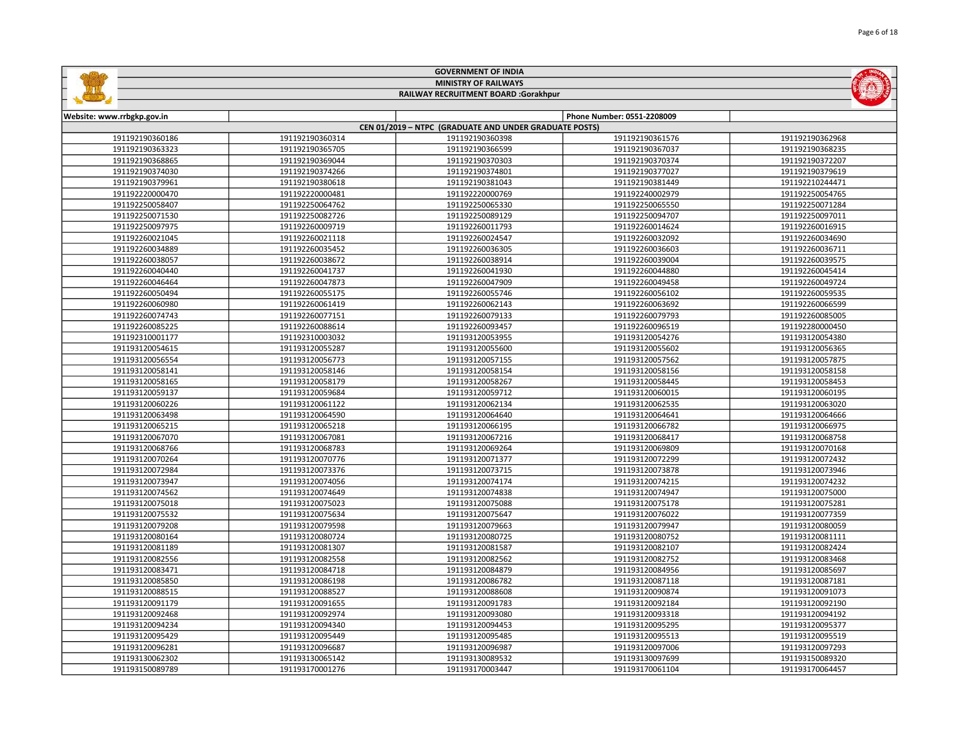|                            |                             | <b>GOVERNMENT OF INDIA</b>                             |                            |                 |  |
|----------------------------|-----------------------------|--------------------------------------------------------|----------------------------|-----------------|--|
|                            | <b>MINISTRY OF RAILWAYS</b> |                                                        |                            |                 |  |
|                            |                             | RAILWAY RECRUITMENT BOARD :Gorakhpur                   |                            |                 |  |
|                            |                             |                                                        |                            |                 |  |
| Website: www.rrbgkp.gov.in |                             |                                                        | Phone Number: 0551-2208009 |                 |  |
|                            |                             | CEN 01/2019 - NTPC (GRADUATE AND UNDER GRADUATE POSTS) |                            |                 |  |
| 191192190360186            | 191192190360314             | 191192190360398                                        | 191192190361576            | 191192190362968 |  |
| 191192190363323            | 191192190365705             | 191192190366599                                        | 191192190367037            | 191192190368235 |  |
| 191192190368865            | 191192190369044             | 191192190370303                                        | 191192190370374            | 191192190372207 |  |
| 191192190374030            | 191192190374266             | 191192190374801                                        | 191192190377027            | 191192190379619 |  |
| 191192190379961            | 191192190380618             | 191192190381043                                        | 191192190381449            | 191192210244471 |  |
| 191192220000470            | 191192220000481             | 191192220000769                                        | 191192240002979            | 191192250054765 |  |
| 191192250058407            | 191192250064762             | 191192250065330                                        | 191192250065550            | 191192250071284 |  |
| 191192250071530            | 191192250082726             | 191192250089129                                        | 191192250094707            | 191192250097011 |  |
| 191192250097975            | 191192260009719             | 191192260011793                                        | 191192260014624            | 191192260016915 |  |
| 191192260021045            | 191192260021118             | 191192260024547                                        | 191192260032092            | 191192260034690 |  |
| 191192260034889            | 191192260035452             | 191192260036305                                        | 191192260036603            | 191192260036711 |  |
| 191192260038057            | 191192260038672             | 191192260038914                                        | 191192260039004            | 191192260039575 |  |
| 191192260040440            | 191192260041737             | 191192260041930                                        | 191192260044880            | 191192260045414 |  |
| 191192260046464            | 191192260047873             | 191192260047909                                        | 191192260049458            | 191192260049724 |  |
| 191192260050494            | 191192260055175             | 191192260055746                                        | 191192260056102            | 191192260059535 |  |
| 191192260060980            | 191192260061419             | 191192260062143                                        | 191192260063692            | 191192260066599 |  |
| 191192260074743            | 191192260077151             | 191192260079133                                        | 191192260079793            | 191192260085005 |  |
| 191192260085225            | 191192260088614             | 191192260093457                                        | 191192260096519            | 191192280000450 |  |
| 191192310001177            | 191192310003032             | 191193120053955                                        | 191193120054276            | 191193120054380 |  |
| 191193120054615            | 191193120055287             | 191193120055600                                        | 191193120055602            | 191193120056365 |  |
| 191193120056554            | 191193120056773             | 191193120057155                                        | 191193120057562            | 191193120057875 |  |
| 191193120058141            | 191193120058146             | 191193120058154                                        | 191193120058156            | 191193120058158 |  |
| 191193120058165            | 191193120058179             | 191193120058267                                        | 191193120058445            | 191193120058453 |  |
| 191193120059137            | 191193120059684             | 191193120059712                                        | 191193120060015            | 191193120060195 |  |
| 191193120060226            | 191193120061122             | 191193120062134                                        | 191193120062535            | 191193120063020 |  |
| 191193120063498            | 191193120064590             | 191193120064640                                        | 191193120064641            | 191193120064666 |  |
| 191193120065215            | 191193120065218             | 191193120066195                                        | 191193120066782            | 191193120066975 |  |
| 191193120067070            | 191193120067081             | 191193120067216                                        | 191193120068417            | 191193120068758 |  |
| 191193120068766            | 191193120068783             | 191193120069264                                        | 191193120069809            | 191193120070168 |  |
| 191193120070264            | 191193120070776             | 191193120071377                                        | 191193120072299            | 191193120072432 |  |
| 191193120072984            | 191193120073376             | 191193120073715                                        | 191193120073878            | 191193120073946 |  |
| 191193120073947            | 191193120074056             | 191193120074174                                        | 191193120074215            | 191193120074232 |  |
| 191193120074562            | 191193120074649             | 191193120074838                                        | 191193120074947            | 191193120075000 |  |
| 191193120075018            | 191193120075023             | 191193120075088                                        | 191193120075178            | 191193120075281 |  |
| 191193120075532            | 191193120075634             | 191193120075647                                        | 191193120076022            | 191193120077359 |  |
| 191193120079208            | 191193120079598             | 191193120079663                                        | 191193120079947            | 191193120080059 |  |
| 191193120080164            | 191193120080724             | 191193120080725                                        | 191193120080752            | 191193120081111 |  |
| 191193120081189            | 191193120081307             | 191193120081587                                        | 191193120082107            | 191193120082424 |  |
| 191193120082556            | 191193120082558             | 191193120082562                                        | 191193120082752            | 191193120083468 |  |
| 191193120083471            | 191193120084718             | 191193120084879                                        | 191193120084956            | 191193120085697 |  |
| 191193120085850            | 191193120086198             | 191193120086782                                        | 191193120087118            | 191193120087181 |  |
| 191193120088515            | 191193120088527             | 191193120088608                                        | 191193120090874            | 191193120091073 |  |
| 191193120091179            | 191193120091655             | 191193120091783                                        | 191193120092184            | 191193120092190 |  |
| 191193120092468            | 191193120092974             | 191193120093080                                        | 191193120093318            | 191193120094192 |  |
| 191193120094234            | 191193120094340             | 191193120094453                                        | 191193120095295            | 191193120095377 |  |
| 191193120095429            | 191193120095449             | 191193120095485                                        | 191193120095513            | 191193120095519 |  |
| 191193120096281            | 191193120096687             | 191193120096987                                        | 191193120097006            | 191193120097293 |  |
| 191193130062302            | 191193130065142             | 191193130089532                                        | 191193130097699            | 191193150089320 |  |

191193170001276 191193170003447 191193170061104 191193170064457

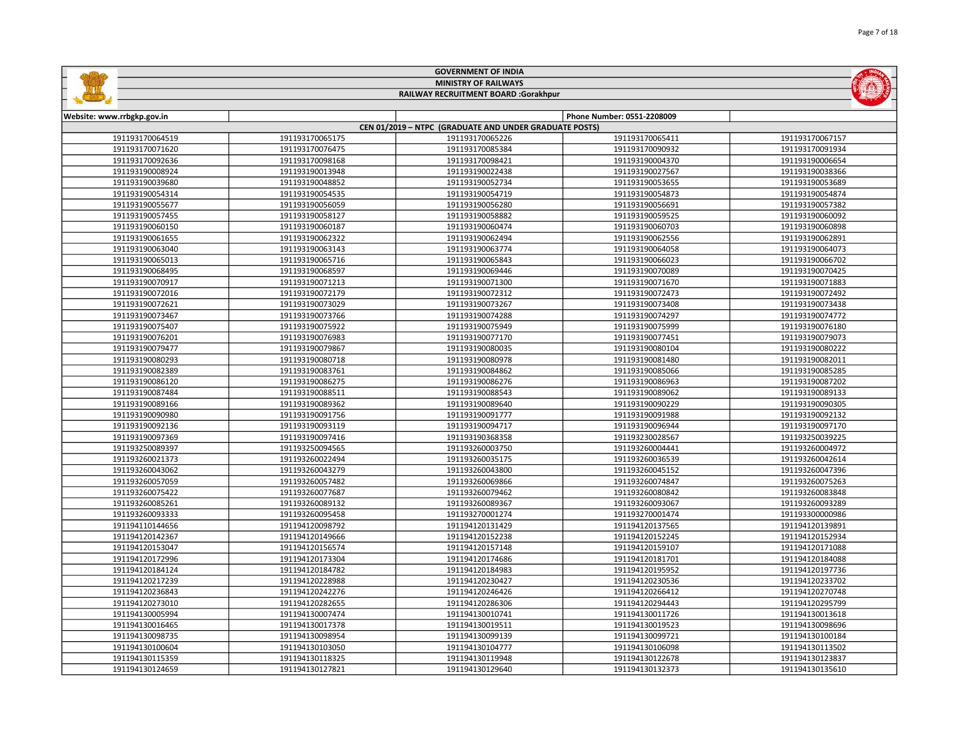| <b>MINISTRY OF RAILWAYS</b><br>$\left( \Omega \right)$<br>RAILWAY RECRUITMENT BOARD :Gorakhpur |                 |                                                        |                            |                 |
|------------------------------------------------------------------------------------------------|-----------------|--------------------------------------------------------|----------------------------|-----------------|
| Website: www.rrbgkp.gov.in                                                                     |                 |                                                        | Phone Number: 0551-2208009 |                 |
|                                                                                                |                 | CEN 01/2019 - NTPC (GRADUATE AND UNDER GRADUATE POSTS) |                            |                 |
| 191193170064519                                                                                | 191193170065175 | 191193170065226                                        | 191193170065411            | 191193170067157 |
| 191193170071620                                                                                | 191193170076475 | 191193170085384                                        | 191193170090932            | 191193170091934 |
| 191193170092636                                                                                | 191193170098168 | 191193170098421                                        | 191193190004370            | 191193190006654 |
| 191193190008924                                                                                | 191193190013948 | 191193190022438                                        | 191193190027567            | 191193190038366 |
| 191193190039680                                                                                | 191193190048852 | 191193190052734                                        | 191193190053655            | 191193190053689 |
| 191193190054314                                                                                | 191193190054535 | 191193190054719                                        | 191193190054873            | 191193190054874 |
| 191193190055677                                                                                | 191193190056059 | 191193190056280                                        | 191193190056691            | 191193190057382 |
| 191193190057455                                                                                | 191193190058127 | 191193190058882                                        | 191193190059525            | 191193190060092 |
| 191193190060150                                                                                | 191193190060187 | 191193190060474                                        | 191193190060703            | 191193190060898 |
| 191193190061655                                                                                | 191193190062322 | 191193190062494                                        | 191193190062556            | 191193190062891 |
| 191193190063040                                                                                | 191193190063143 | 191193190063774                                        | 191193190064058            | 191193190064073 |
| 191193190065013                                                                                | 191193190065716 | 191193190065843                                        | 191193190066023            | 191193190066702 |
| 191193190068495                                                                                | 191193190068597 | 191193190069446                                        | 191193190070089            | 191193190070425 |
| 191193190070917                                                                                | 191193190071213 | 191193190071300                                        | 191193190071670            | 191193190071883 |
| 191193190072016                                                                                | 191193190072179 | 191193190072312                                        | 191193190072473            | 191193190072492 |
| 191193190072621                                                                                | 191193190073029 | 191193190073267                                        | 191193190073408            | 191193190073438 |
| 191193190073467                                                                                | 191193190073766 | 191193190074288                                        | 191193190074297            | 191193190074772 |
| 191193190075407                                                                                | 191193190075922 | 191193190075949                                        | 191193190075999            | 191193190076180 |
| 191193190076201                                                                                | 191193190076983 | 191193190077170                                        | 191193190077451            | 191193190079073 |
| 191193190079477                                                                                | 191193190079867 | 191193190080035                                        | 191193190080104            | 191193190080222 |
| 191193190080293                                                                                | 191193190080718 | 191193190080978                                        | 191193190081480            | 191193190082011 |
| 191193190082389                                                                                | 191193190083761 | 191193190084862                                        | 191193190085066            | 191193190085285 |
| 191193190086120                                                                                | 191193190086275 | 191193190086276                                        | 191193190086963            | 191193190087202 |
| 191193190087484                                                                                | 191193190088511 | 191193190088543                                        | 191193190089062            | 191193190089133 |
| 191193190089166                                                                                | 191193190089362 | 191193190089640                                        | 191193190090229            | 191193190090305 |
| 191193190090980                                                                                | 191193190091756 | 191193190091777                                        | 191193190091988            | 191193190092132 |
| 191193190092136                                                                                | 191193190093119 | 191193190094717                                        | 191193190096944            | 191193190097170 |
| 191193190097369                                                                                | 191193190097416 | 191193190368358                                        | 191193230028567            | 191193250039225 |
| 191193250089397                                                                                | 191193250094565 | 191193260003750                                        | 191193260004441            | 191193260004972 |
| 191193260021373                                                                                | 191193260022494 | 191193260035175                                        | 191193260036539            | 191193260042614 |
| 191193260043062                                                                                | 191193260043279 | 191193260043800                                        | 191193260045152            | 191193260047396 |
| 191193260057059                                                                                | 191193260057482 | 191193260069866                                        | 191193260074847            | 191193260075263 |
| 191193260075422                                                                                | 191193260077687 | 191193260079462                                        | 191193260080842            | 191193260083848 |
| 191193260085261                                                                                | 191193260089132 | 191193260089367                                        | 191193260093067            | 191193260093289 |
| 191193260093333                                                                                | 191193260095458 | 191193270001274                                        | 191193270001474            | 191193300000986 |
| 191194110144656                                                                                | 191194120098792 | 191194120131429                                        | 191194120137565            | 191194120139891 |
| 191194120142367                                                                                | 191194120149666 | 191194120152238                                        | 191194120152245            | 191194120152934 |
| 191194120153047                                                                                | 191194120156574 | 191194120157148                                        | 191194120159107            | 191194120171088 |
| 191194120172996                                                                                | 191194120173304 | 191194120174686                                        | 191194120181701            | 191194120184088 |
| 191194120184124                                                                                | 191194120184782 | 191194120184983                                        | 191194120195952            | 191194120197736 |
| 191194120217239                                                                                | 191194120228988 | 191194120230427                                        | 191194120230536            | 191194120233702 |
| 191194120236843                                                                                | 191194120242276 | 191194120246426                                        | 191194120266412            | 191194120270748 |
| 191194120273010                                                                                | 191194120282655 | 191194120286306                                        | 191194120294443            | 191194120295799 |
| 191194130005994                                                                                | 191194130007474 | 191194130010741                                        | 191194130011726            | 191194130013618 |
| 191194130016465                                                                                | 191194130017378 | 191194130019511                                        | 191194130019523            | 191194130098696 |
| 191194130098735                                                                                | 191194130098954 | 191194130099139                                        | 191194130099721            | 191194130100184 |
| 191194130100604                                                                                | 191194130103050 | 191194130104777                                        | 191194130106098            | 191194130113502 |
| 191194130115359                                                                                | 191194130118325 | 191194130119948                                        | 191194130122678            | 191194130123837 |

191194130127821 191194130129640 191194130132373 191194130135610

GOVERNMENT OF INDIA

**Salarian**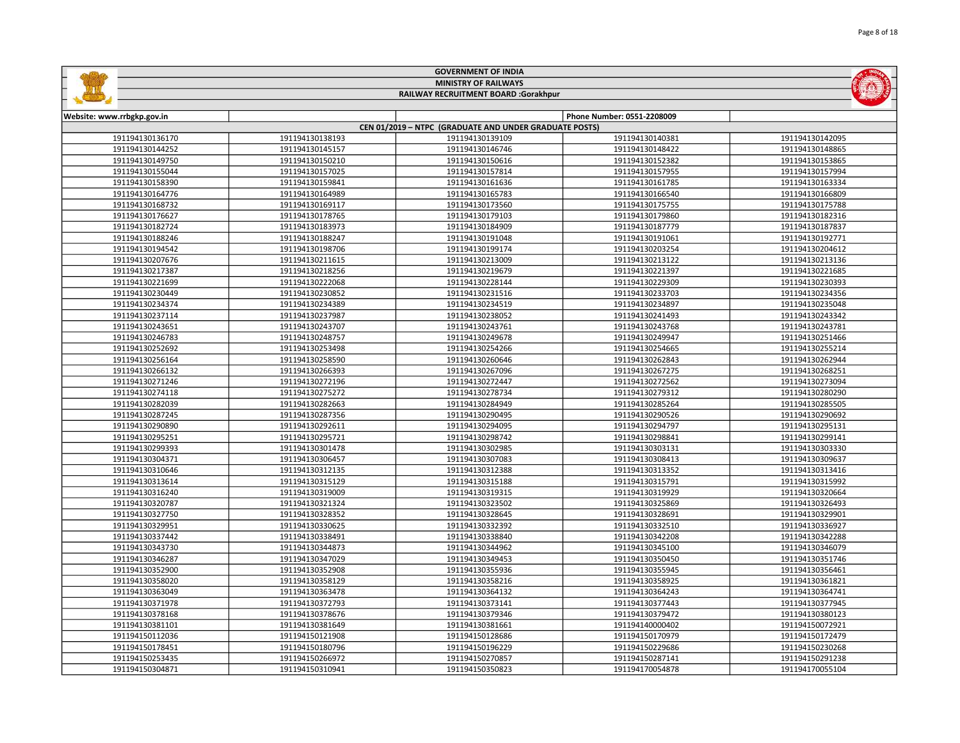| <b>MINISTRY OF RAILWAYS</b><br>(0)<br>RAILWAY RECRUITMENT BOARD :Gorakhpur |                 |                                                        |                            |                 |
|----------------------------------------------------------------------------|-----------------|--------------------------------------------------------|----------------------------|-----------------|
|                                                                            |                 |                                                        |                            |                 |
| Website: www.rrbgkp.gov.in                                                 |                 |                                                        | Phone Number: 0551-2208009 |                 |
|                                                                            |                 | CEN 01/2019 - NTPC (GRADUATE AND UNDER GRADUATE POSTS) |                            |                 |
| 191194130136170                                                            | 191194130138193 | 191194130139109                                        | 191194130140381            | 191194130142095 |
| 191194130144252                                                            | 191194130145157 | 191194130146746                                        | 191194130148422            | 191194130148865 |
| 191194130149750                                                            | 191194130150210 | 191194130150616                                        | 191194130152382            | 191194130153865 |
| 191194130155044                                                            | 191194130157025 | 191194130157814                                        | 191194130157955            | 191194130157994 |
| 191194130158390                                                            | 191194130159841 | 191194130161636                                        | 191194130161785            | 191194130163334 |
| 191194130164776                                                            | 191194130164989 | 191194130165783                                        | 191194130166540            | 191194130166809 |
| 191194130168732                                                            | 191194130169117 | 191194130173560                                        | 191194130175755            | 191194130175788 |
| 191194130176627                                                            | 191194130178765 | 191194130179103                                        | 191194130179860            | 191194130182316 |
| 191194130182724                                                            | 191194130183973 | 191194130184909                                        | 191194130187779            | 191194130187837 |
| 191194130188246                                                            | 191194130188247 | 191194130191048                                        | 191194130191061            | 191194130192771 |
| 191194130194542                                                            | 191194130198706 | 191194130199174                                        | 191194130203254            | 191194130204612 |
| 191194130207676                                                            | 191194130211615 | 191194130213009                                        | 191194130213122            | 191194130213136 |
| 191194130217387                                                            | 191194130218256 | 191194130219679                                        | 191194130221397            | 191194130221685 |
| 191194130221699                                                            | 191194130222068 | 191194130228144                                        | 191194130229309            | 191194130230393 |
| 191194130230449                                                            | 191194130230852 | 191194130231516                                        | 191194130233703            | 191194130234356 |
| 191194130234374                                                            | 191194130234389 | 191194130234519                                        | 191194130234897            | 191194130235048 |
| 191194130237114                                                            | 191194130237987 | 191194130238052                                        | 191194130241493            | 191194130243342 |
| 191194130243651                                                            | 191194130243707 | 191194130243761                                        | 191194130243768            | 191194130243781 |
| 191194130246783                                                            | 191194130248757 | 191194130249678                                        | 191194130249947            | 191194130251466 |
| 191194130252692                                                            | 191194130253498 | 191194130254266                                        | 191194130254665            | 191194130255214 |
| 191194130256164                                                            | 191194130258590 | 191194130260646                                        | 191194130262843            | 191194130262944 |
| 191194130266132                                                            | 191194130266393 | 191194130267096                                        | 191194130267275            | 191194130268251 |
| 191194130271246                                                            | 191194130272196 | 191194130272447                                        | 191194130272562            | 191194130273094 |
| 191194130274118                                                            | 191194130275272 | 191194130278734                                        | 191194130279312            | 191194130280290 |
| 191194130282039                                                            | 191194130282663 | 191194130284949                                        | 191194130285264            | 191194130285505 |
| 191194130287245                                                            | 191194130287356 | 191194130290495                                        | 191194130290526            | 191194130290692 |
| 191194130290890                                                            | 191194130292611 | 191194130294095                                        | 191194130294797            | 191194130295131 |
| 191194130295251                                                            | 191194130295721 | 191194130298742                                        | 191194130298841            | 191194130299141 |
| 191194130299393                                                            | 191194130301478 | 191194130302985                                        | 191194130303131            | 191194130303330 |
| 191194130304371                                                            | 191194130306457 | 191194130307083                                        | 191194130308413            | 191194130309637 |
| 191194130310646                                                            | 191194130312135 | 191194130312388                                        | 191194130313352            | 191194130313416 |
| 191194130313614                                                            | 191194130315129 | 191194130315188                                        | 191194130315791            | 191194130315992 |
| 191194130316240                                                            | 191194130319009 | 191194130319315                                        | 191194130319929            | 191194130320664 |
| 191194130320787                                                            | 191194130321324 | 191194130323502                                        | 191194130325869            | 191194130326493 |
| 191194130327750                                                            | 191194130328352 | 191194130328645                                        | 191194130328691            | 191194130329901 |
| 191194130329951                                                            | 191194130330625 | 191194130332392                                        | 191194130332510            | 191194130336927 |
| 191194130337442                                                            | 191194130338491 | 191194130338840                                        | 191194130342208            | 191194130342288 |
| 191194130343730                                                            | 191194130344873 | 191194130344962                                        | 191194130345100            | 191194130346079 |
| 191194130346287                                                            | 191194130347029 | 191194130349453                                        | 191194130350450            | 191194130351746 |
| 191194130352900                                                            | 191194130352908 | 191194130355936                                        | 191194130355945            | 191194130356461 |
| 191194130358020                                                            | 191194130358129 | 191194130358216                                        | 191194130358925            | 191194130361821 |
| 191194130363049                                                            | 191194130363478 | 191194130364132                                        | 191194130364243            | 191194130364741 |
| 191194130371978                                                            | 191194130372793 | 191194130373141                                        | 191194130377443            | 191194130377945 |
| 191194130378168                                                            | 191194130378676 | 191194130379346                                        | 191194130379472            | 191194130380123 |
| 191194130381101                                                            | 191194130381649 | 191194130381661                                        | 191194140000402            | 191194150072921 |
| 191194150112036                                                            | 191194150121908 | 191194150128686                                        | 191194150170979            | 191194150172479 |
| 191194150178451                                                            | 191194150180796 | 191194150196229                                        | 191194150229686            | 191194150230268 |
| 191194150253435                                                            | 191194150266972 | 191194150270857                                        | 191194150287141            | 191194150291238 |

191194150310941 191194150350823 191194170054878 191194170055104

GOVERNMENT OF INDIA

**Sallida**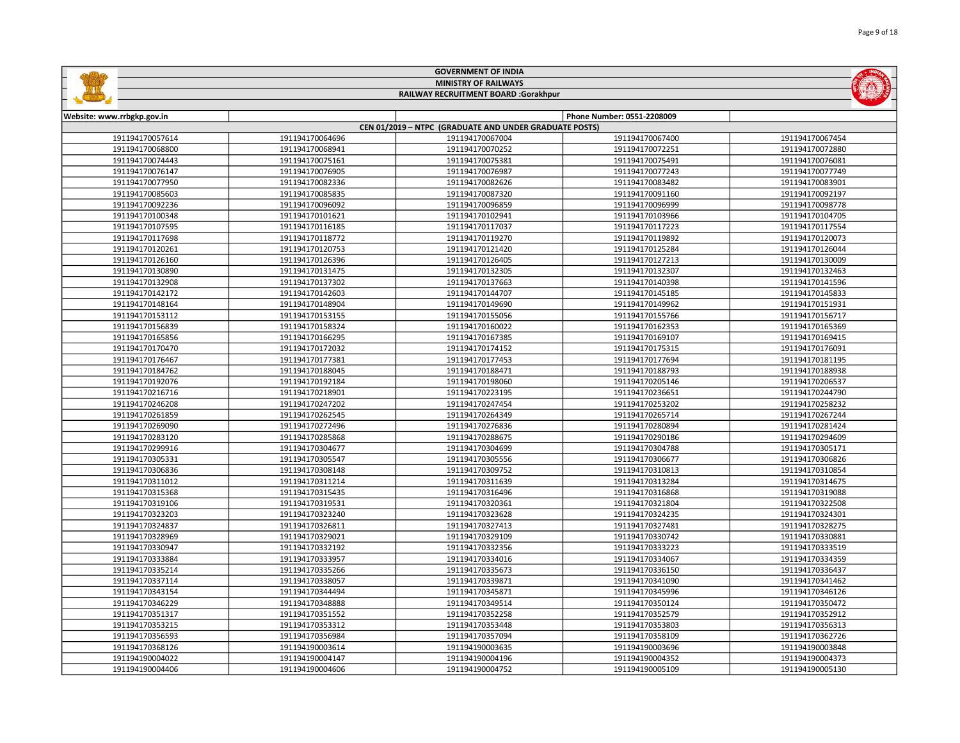|                            |                 | <b>MINISTRY OF RAILWAYS</b>                            |                            |                 |
|----------------------------|-----------------|--------------------------------------------------------|----------------------------|-----------------|
|                            |                 | RAILWAY RECRUITMENT BOARD :Gorakhpur                   |                            |                 |
|                            |                 |                                                        |                            |                 |
| Website: www.rrbgkp.gov.in |                 |                                                        | Phone Number: 0551-2208009 |                 |
|                            |                 | CEN 01/2019 - NTPC (GRADUATE AND UNDER GRADUATE POSTS) |                            |                 |
| 191194170057614            | 191194170064696 | 191194170067004                                        | 191194170067400            | 191194170067454 |
| 191194170068800            | 191194170068941 | 191194170070252                                        | 191194170072251            | 191194170072880 |
| 191194170074443            | 191194170075161 | 191194170075381                                        | 191194170075491            | 191194170076081 |
| 191194170076147            | 191194170076905 | 191194170076987                                        | 191194170077243            | 191194170077749 |
| 191194170077950            | 191194170082336 | 191194170082626                                        | 191194170083482            | 191194170083901 |
| 191194170085603            | 191194170085835 | 191194170087320                                        | 191194170091160            | 191194170092197 |
| 191194170092236            | 191194170096092 | 191194170096859                                        | 191194170096999            | 191194170098778 |
| 191194170100348            | 191194170101621 | 191194170102941                                        | 191194170103966            | 191194170104705 |
| 191194170107595            | 191194170116185 | 191194170117037                                        | 191194170117223            | 191194170117554 |
| 191194170117698            | 191194170118772 | 191194170119270                                        | 191194170119892            | 191194170120073 |
| 191194170120261            | 191194170120753 | 191194170121420                                        | 191194170125284            | 191194170126044 |
| 191194170126160            | 191194170126396 | 191194170126405                                        | 191194170127213            | 191194170130009 |
| 191194170130890            | 191194170131475 | 191194170132305                                        | 191194170132307            | 191194170132463 |
| 191194170132908            | 191194170137302 | 191194170137663                                        | 191194170140398            | 191194170141596 |
| 191194170142172            | 191194170142603 | 191194170144707                                        | 191194170145185            | 191194170145833 |
| 191194170148164            | 191194170148904 | 191194170149690                                        | 191194170149962            | 191194170151931 |
| 191194170153112            | 191194170153155 | 191194170155056                                        | 191194170155766            | 191194170156717 |
| 191194170156839            | 191194170158324 | 191194170160022                                        | 191194170162353            | 191194170165369 |
| 191194170165856            | 191194170166295 | 191194170167385                                        | 191194170169107            | 191194170169415 |
| 191194170170470            | 191194170172032 | 191194170174152                                        | 191194170175315            | 191194170176091 |
| 191194170176467            | 191194170177381 | 191194170177453                                        | 191194170177694            | 191194170181195 |
| 191194170184762            | 191194170188045 | 191194170188471                                        | 191194170188793            | 191194170188938 |
| 191194170192076            | 191194170192184 | 191194170198060                                        | 191194170205146            | 191194170206537 |
| 191194170216716            | 191194170218901 | 191194170223195                                        | 191194170236651            | 191194170244790 |
| 191194170246208            | 191194170247202 | 191194170247454                                        | 191194170253202            | 191194170258232 |
| 191194170261859            | 191194170262545 | 191194170264349                                        | 191194170265714            | 191194170267244 |
| 191194170269090            | 191194170272496 | 191194170276836                                        | 191194170280894            | 191194170281424 |
| 191194170283120            | 191194170285868 | 191194170288675                                        | 191194170290186            | 191194170294609 |
| 191194170299916            | 191194170304677 | 191194170304699                                        | 191194170304788            | 191194170305171 |
| 191194170305331            | 191194170305547 | 191194170305556                                        | 191194170306677            | 191194170306826 |
| 191194170306836            | 191194170308148 | 191194170309752                                        | 191194170310813            | 191194170310854 |
| 191194170311012            | 191194170311214 | 191194170311639                                        | 191194170313284            | 191194170314675 |
| 191194170315368            | 191194170315435 | 191194170316496                                        | 191194170316868            | 191194170319088 |
| 191194170319106            | 191194170319531 | 191194170320361                                        | 191194170321804            | 191194170322508 |
| 191194170323203            | 191194170323240 | 191194170323628                                        | 191194170324235            | 191194170324301 |
| 191194170324837            | 191194170326811 | 191194170327413                                        | 191194170327481            | 191194170328275 |
| 191194170328969            | 191194170329021 | 191194170329109                                        | 191194170330742            | 191194170330881 |
| 191194170330947            | 191194170332192 | 191194170332356                                        | 191194170333223            | 191194170333519 |
| 191194170333884            | 191194170333957 | 191194170334016                                        | 191194170334067            | 191194170334359 |
| 191194170335214            | 191194170335266 | 191194170335673                                        | 191194170336150            | 191194170336437 |
| 191194170337114            | 191194170338057 | 191194170339871                                        | 191194170341090            | 191194170341462 |
| 191194170343154            | 191194170344494 | 191194170345871                                        | 191194170345996            | 191194170346126 |
| 191194170346229            | 191194170348888 | 191194170349514                                        | 191194170350124            | 191194170350472 |
| 191194170351317            | 191194170351552 | 191194170352258                                        | 191194170352579            | 191194170352912 |
| 191194170353215            | 191194170353312 | 191194170353448                                        | 191194170353803            | 191194170356313 |
| 191194170356593            | 191194170356984 | 191194170357094                                        | 191194170358109            | 191194170362726 |
| 191194170368126            | 191194190003614 | 191194190003635                                        | 191194190003696            | 191194190003848 |
| 191194190004022            | 191194190004147 | 191194190004196                                        | 191194190004352            | 191194190004373 |
|                            |                 |                                                        |                            |                 |

191194190004606 191194190004752 191194190005109 191194190005130

GOVERNMENT OF INDIA

**Sallida**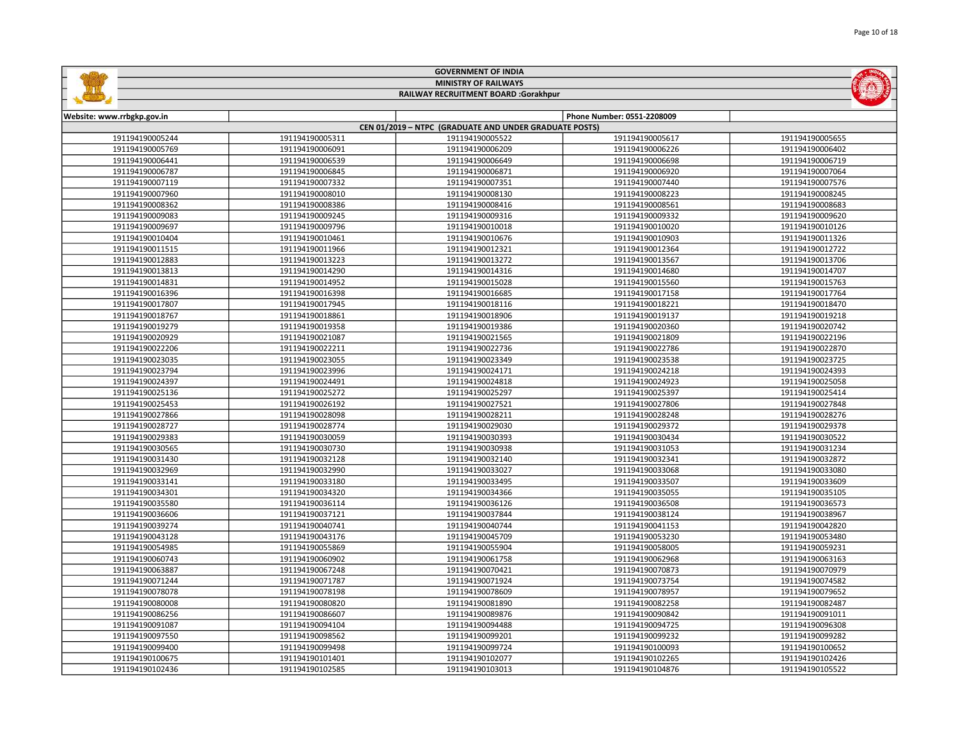|                            |                 | <b>GOVERNMENT OF INDIA</b>                             |                            |                 |
|----------------------------|-----------------|--------------------------------------------------------|----------------------------|-----------------|
|                            |                 | <b>MINISTRY OF RAILWAYS</b>                            |                            |                 |
|                            |                 | RAILWAY RECRUITMENT BOARD :Gorakhpur                   |                            |                 |
|                            |                 |                                                        |                            |                 |
| Website: www.rrbgkp.gov.in |                 |                                                        | Phone Number: 0551-2208009 |                 |
|                            |                 | CEN 01/2019 - NTPC (GRADUATE AND UNDER GRADUATE POSTS) |                            |                 |
| 191194190005244            | 191194190005311 | 191194190005522                                        | 191194190005617            | 191194190005655 |
| 191194190005769            | 191194190006091 | 191194190006209                                        | 191194190006226            | 191194190006402 |
| 191194190006441            | 191194190006539 | 191194190006649                                        | 191194190006698            | 191194190006719 |
| 191194190006787            | 191194190006845 | 191194190006871                                        | 191194190006920            | 191194190007064 |
| 191194190007119            | 191194190007332 | 191194190007351                                        | 191194190007440            | 191194190007576 |
| 191194190007960            | 191194190008010 | 191194190008130                                        | 191194190008223            | 191194190008245 |
| 191194190008362            | 191194190008386 | 191194190008416                                        | 191194190008561            | 191194190008683 |
| 191194190009083            | 191194190009245 | 191194190009316                                        | 191194190009332            | 191194190009620 |
| 191194190009697            | 191194190009796 | 191194190010018                                        | 191194190010020            | 191194190010126 |
| 191194190010404            | 191194190010461 | 191194190010676                                        | 191194190010903            | 191194190011326 |
| 191194190011515            | 191194190011966 | 191194190012321                                        | 191194190012364            | 191194190012722 |
| 191194190012883            | 191194190013223 | 191194190013272                                        | 191194190013567            | 191194190013706 |
| 191194190013813            | 191194190014290 | 191194190014316                                        | 191194190014680            | 191194190014707 |
| 191194190014831            | 191194190014952 | 191194190015028                                        | 191194190015560            | 191194190015763 |
| 191194190016396            | 191194190016398 | 191194190016685                                        | 191194190017158            | 191194190017764 |
| 191194190017807            | 191194190017945 | 191194190018116                                        | 191194190018221            | 191194190018470 |
| 191194190018767            | 191194190018861 | 191194190018906                                        | 191194190019137            | 191194190019218 |
| 191194190019279            | 191194190019358 | 191194190019386                                        | 191194190020360            | 191194190020742 |
| 191194190020929            | 191194190021087 | 191194190021565                                        | 191194190021809            | 191194190022196 |
| 191194190022206            | 191194190022211 | 191194190022736                                        | 191194190022786            | 191194190022870 |
| 191194190023035            | 191194190023055 | 191194190023349                                        | 191194190023538            | 191194190023725 |
| 191194190023794            | 191194190023996 | 191194190024171                                        | 191194190024218            | 191194190024393 |
| 191194190024397            | 191194190024491 | 191194190024818                                        | 191194190024923            | 191194190025058 |
| 191194190025136            | 191194190025272 | 191194190025297                                        | 191194190025397            | 191194190025414 |
| 191194190025453            | 191194190026192 | 191194190027521                                        | 191194190027806            | 191194190027848 |
| 191194190027866            | 191194190028098 | 191194190028211                                        | 191194190028248            | 191194190028276 |
| 191194190028727            | 191194190028774 | 191194190029030                                        | 191194190029372            | 191194190029378 |
| 191194190029383            | 191194190030059 | 191194190030393                                        | 191194190030434            | 191194190030522 |
| 191194190030565            | 191194190030730 | 191194190030938                                        | 191194190031053            | 191194190031234 |
| 191194190031430            | 191194190032128 | 191194190032140                                        | 191194190032341            | 191194190032872 |
| 191194190032969            | 191194190032990 | 191194190033027                                        | 191194190033068            | 191194190033080 |
| 191194190033141            | 191194190033180 | 191194190033495                                        | 191194190033507            | 191194190033609 |
| 191194190034301            | 191194190034320 | 191194190034366                                        | 191194190035055            | 191194190035105 |
| 191194190035580            | 191194190036114 | 191194190036126                                        | 191194190036508            | 191194190036573 |
| 191194190036606            | 191194190037121 | 191194190037844                                        | 191194190038124            | 191194190038967 |
| 191194190039274            | 191194190040741 | 191194190040744                                        | 191194190041153            | 191194190042820 |
| 191194190043128            | 191194190043176 | 191194190045709                                        | 191194190053230            | 191194190053480 |
| 191194190054985            | 191194190055869 | 191194190055904                                        | 191194190058005            | 191194190059231 |
| 191194190060743            | 191194190060902 | 191194190061758                                        | 191194190062968            | 191194190063163 |
| 191194190063887            | 191194190067248 | 191194190070421                                        | 191194190070873            | 191194190070979 |
| 191194190071244            | 191194190071787 | 191194190071924                                        | 191194190073754            | 191194190074582 |
| 191194190078078            | 191194190078198 | 191194190078609                                        | 191194190078957            | 191194190079652 |
| 191194190080008            | 191194190080820 | 191194190081890                                        | 191194190082258            | 191194190082487 |
| 191194190086256            | 191194190086607 | 191194190089876                                        | 191194190090842            | 191194190091011 |
| 191194190091087            | 191194190094104 | 191194190094488                                        | 191194190094725            | 191194190096308 |

 191194190098562 191194190099201 191194190099232 191194190099282 191194190099498 191194190099724 191194190100093 191194190100652 191194190101401 191194190102077 191194190102265 191194190102426 191194190102585 191194190103013 191194190104876 191194190105522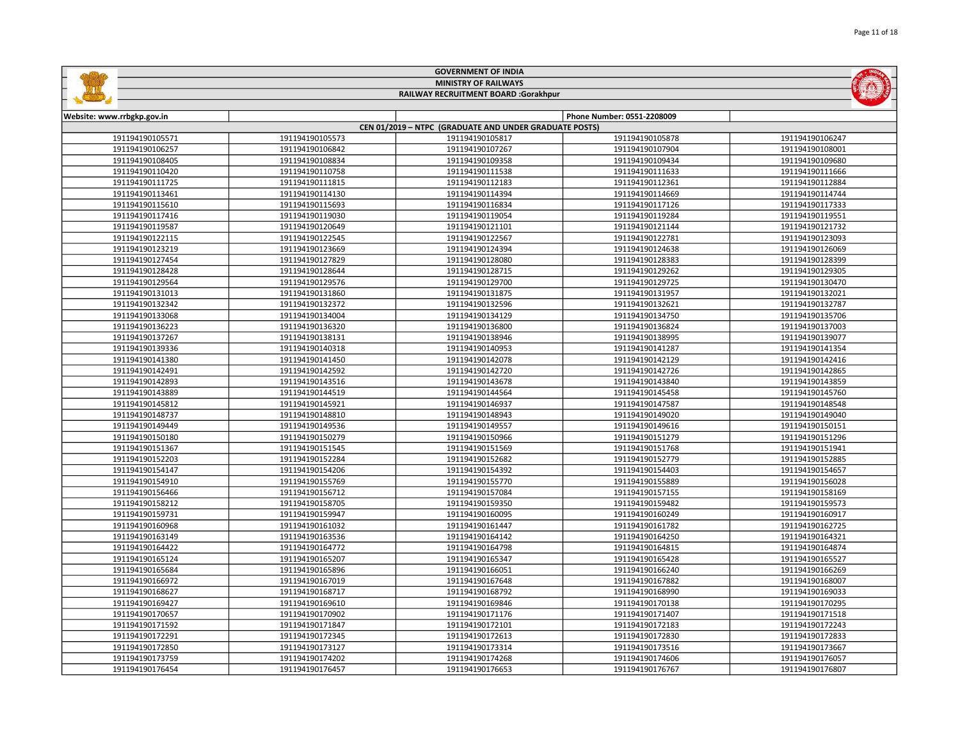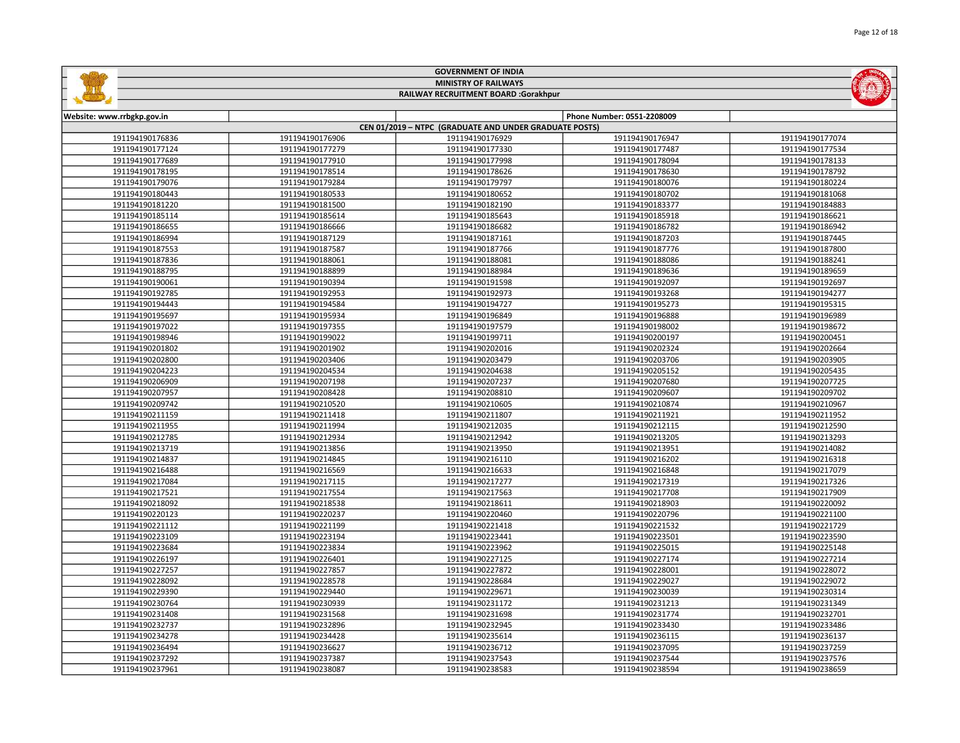| Page 12 of 18 |
|---------------|
|               |



## GOVERNMENT OF INDIA MINISTRY OF RAILWAYS RAILWAY RECRUITMENT BOARD :Gorakhpur

| Website: www.rrbgkp.gov.in |                 |                                                        | Phone Number: 0551-2208009 |                  |
|----------------------------|-----------------|--------------------------------------------------------|----------------------------|------------------|
|                            |                 | CEN 01/2019 - NTPC (GRADUATE AND UNDER GRADUATE POSTS) |                            |                  |
| 191194190176836            | 191194190176906 | 191194190176929                                        | 191194190176947            | 191194190177074  |
| 191194190177124            | 191194190177279 | 191194190177330                                        | 191194190177487            | 191194190177534  |
| 191194190177689            | 191194190177910 | 191194190177998                                        | 191194190178094            | 191194190178133  |
| 191194190178195            | 191194190178514 | 191194190178626                                        | 191194190178630            | 191194190178792  |
| 191194190179076            | 191194190179284 | 191194190179797                                        | 191194190180076            | 191194190180224  |
| 191194190180443            | 191194190180533 | 191194190180652                                        | 191194190180702            | 191194190181068  |
| 191194190181220            | 191194190181500 | 191194190182190                                        | 191194190183377            | 191194190184883  |
| 191194190185114            | 191194190185614 | 191194190185643                                        | 191194190185918            | 191194190186621  |
| 191194190186655            | 191194190186666 | 191194190186682                                        | 191194190186782            | 191194190186942  |
| 191194190186994            | 191194190187129 | 191194190187161                                        | 191194190187203            | 191194190187445  |
| 191194190187553            | 191194190187587 | 191194190187766                                        | 191194190187776            | 191194190187800  |
| 191194190187836            | 191194190188061 | 191194190188081                                        | 191194190188086            | 191194190188241  |
| 191194190188795            | 191194190188899 | 191194190188984                                        | 191194190189636            | 191194190189659  |
| 191194190190061            | 191194190190394 | 191194190191598                                        | 191194190192097            | 191194190192697  |
| 191194190192785            | 191194190192953 | 191194190192973                                        | 191194190193268            | 191194190194277  |
| 191194190194443            | 191194190194584 | 191194190194727                                        | 191194190195273            | 191194190195315  |
| 191194190195697            | 191194190195934 | 191194190196849                                        | 191194190196888            | 191194190196989  |
| 191194190197022            | 191194190197355 | 191194190197579                                        | 191194190198002            | 191194190198672  |
| 191194190198946            | 191194190199022 | 191194190199711                                        | 191194190200197            | 191194190200451  |
| 191194190201802            | 191194190201902 | 191194190202016                                        | 191194190202324            | 191194190202664  |
| 191194190202800            | 191194190203406 | 191194190203479                                        | 191194190203706            | 191194190203905  |
| 191194190204223            | 191194190204534 | 191194190204638                                        | 191194190205152            | 191194190205435  |
| 191194190206909            | 191194190207198 | 191194190207237                                        | 191194190207680            | 191194190207725  |
| 191194190207957            | 191194190208428 | 191194190208810                                        | 191194190209607            | 191194190209702  |
| 191194190209742            | 191194190210520 | 191194190210605                                        | 191194190210874            | 191194190210967  |
| 191194190211159            | 191194190211418 | 191194190211807                                        | 191194190211921            | 191194190211952  |
| 191194190211955            | 191194190211994 | 191194190212035                                        | 191194190212115            | 191194190212590  |
| 191194190212785            | 191194190212934 | 191194190212942                                        | 191194190213205            | 191194190213293  |
| 191194190213719            | 191194190213856 | 191194190213950                                        | 191194190213951            | 191194190214082  |
| 191194190214837            | 191194190214845 | 191194190216110                                        | 191194190216202            | 191194190216318  |
| 191194190216488            | 191194190216569 | 191194190216633                                        | 191194190216848            | 191194190217079  |
| 191194190217084            | 191194190217115 | 191194190217277                                        | 191194190217319            | 191194190217326  |
| 191194190217521            | 191194190217554 | 191194190217563                                        | 191194190217708            | 191194190217909  |
| 191194190218092            | 191194190218538 | 191194190218611                                        | 191194190218903            | 191194190220092  |
| 191194190220123            | 191194190220237 | 191194190220460                                        | 191194190220796            | 191194190221100  |
| 191194190221112            | 191194190221199 | 191194190221418                                        | 191194190221532            | 191194190221729  |
| 191194190223109            | 191194190223194 | 191194190223441                                        | 191194190223501            | 191194190223590  |
| 191194190223684            | 191194190223834 | 191194190223962                                        | 191194190225015            | 191194190225148  |
| 191194190226197            | 191194190226401 | 191194190227125                                        | 191194190227174            | 191194190227214  |
| 191194190227257            | 191194190227857 | 191194190227872                                        | 191194190228001            | 191194190228072  |
| 191194190228092            | 191194190228578 | 191194190228684                                        | 191194190229027            | 191194190229072  |
| 191194190229390            | 191194190229440 | 191194190229671                                        | 191194190230039            | 191194190230314  |
| 191194190230764            | 191194190230939 | 191194190231172                                        | 191194190231213            | 191194190231349  |
| 191194190231408            | 191194190231568 | 191194190231698                                        | 191194190231774            | 191194190232701  |
| 191194190232737            | 191194190232896 | 191194190232945                                        | 191194190233430            | 191194190233486  |
| 191194190234278            | 191194190234428 | 191194190235614                                        | 191194190236115            | 191194190236137  |
| 191194190236494            | 191194190236627 | 191194190236712                                        | 191194190237095            | 191194190237259  |
| 191194190237292            | 191194190237387 | 191194190237543                                        | 191194190237544            | 191194190237576  |
| 1011011000227001           | 101101100000007 | 1011011000000000                                       | 101101100330501            | 1011011000000000 |

191194190238087 191194190238583 191194190238594 191194190238659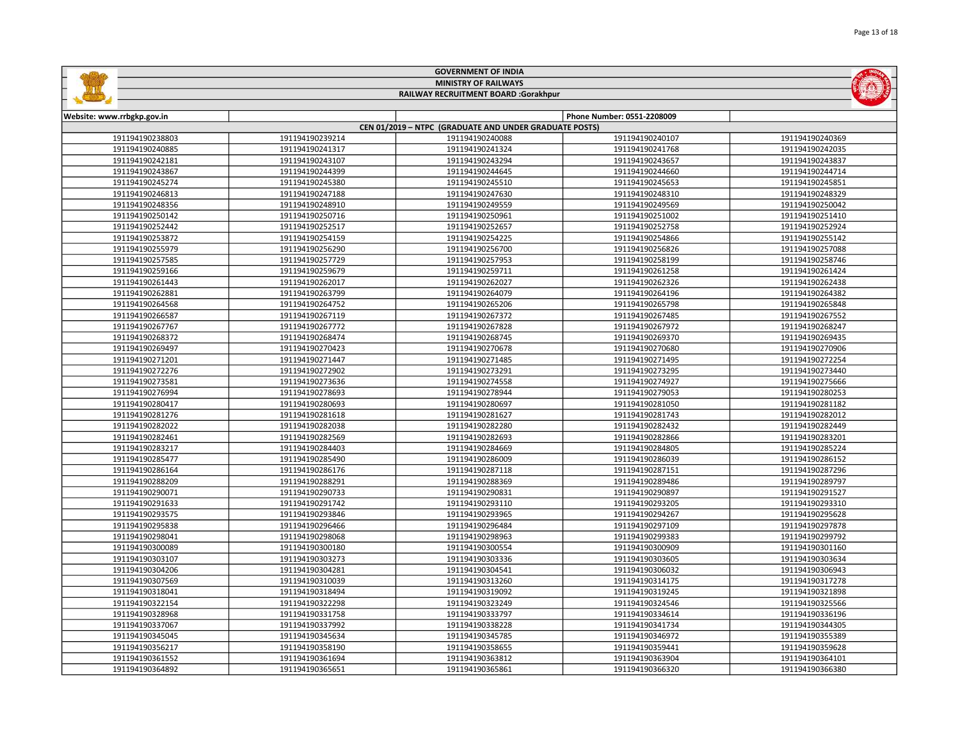| _____         |
|---------------|
|               |
|               |
|               |
|               |
|               |
|               |
|               |
| Page 13 of 18 |
|               |



## GOVERNMENT OF INDIA MINISTRY OF RAILWAYS RAILWAY RECRUITMENT BOARD :Gorakhpur

| Website: www.rrbgkp.gov.in |                 |                                                        | Phone Number: 0551-2208009 |                 |
|----------------------------|-----------------|--------------------------------------------------------|----------------------------|-----------------|
|                            |                 | CEN 01/2019 - NTPC (GRADUATE AND UNDER GRADUATE POSTS) |                            |                 |
| 191194190238803            | 191194190239214 | 191194190240088                                        | 191194190240107            | 191194190240369 |
| 191194190240885            | 191194190241317 | 191194190241324                                        | 191194190241768            | 191194190242035 |
| 191194190242181            | 191194190243107 | 191194190243294                                        | 191194190243657            | 191194190243837 |
| 191194190243867            | 191194190244399 | 191194190244645                                        | 191194190244660            | 191194190244714 |
| 191194190245274            | 191194190245380 | 191194190245510                                        | 191194190245653            | 191194190245851 |
| 191194190246813            | 191194190247188 | 191194190247630                                        | 191194190248310            | 191194190248329 |
| 191194190248356            | 191194190248910 | 191194190249559                                        | 191194190249569            | 191194190250042 |
| 191194190250142            | 191194190250716 | 191194190250961                                        | 191194190251002            | 191194190251410 |
| 191194190252442            | 191194190252517 | 191194190252657                                        | 191194190252758            | 191194190252924 |
| 191194190253872            | 191194190254159 | 191194190254225                                        | 191194190254866            | 191194190255142 |
| 191194190255979            | 191194190256290 | 191194190256700                                        | 191194190256826            | 191194190257088 |
| 191194190257585            | 191194190257729 | 191194190257953                                        | 191194190258199            | 191194190258746 |
| 191194190259166            | 191194190259679 | 191194190259711                                        | 191194190261258            | 191194190261424 |
| 191194190261443            | 191194190262017 | 191194190262027                                        | 191194190262326            | 191194190262438 |
| 191194190262881            | 191194190263799 | 191194190264079                                        | 191194190264196            | 191194190264382 |
| 191194190264568            | 191194190264752 | 191194190265206                                        | 191194190265798            | 191194190265848 |
| 191194190266587            | 191194190267119 | 191194190267372                                        | 191194190267485            | 191194190267552 |
| 191194190267767            | 191194190267772 | 191194190267828                                        | 191194190267972            | 191194190268247 |
| 191194190268372            | 191194190268474 | 191194190268745                                        | 191194190269370            | 191194190269435 |
| 191194190269497            | 191194190270423 | 191194190270678                                        | 191194190270680            | 191194190270906 |
| 191194190271201            | 191194190271447 | 191194190271485                                        | 191194190271495            | 191194190272254 |
| 191194190272276            | 191194190272902 | 191194190273291                                        | 191194190273295            | 191194190273440 |
| 191194190273581            | 191194190273636 | 191194190274558                                        | 191194190274927            | 191194190275666 |
| 191194190276994            | 191194190278693 | 191194190278944                                        | 191194190279053            | 191194190280253 |
| 191194190280417            | 191194190280693 | 191194190280697                                        | 191194190281050            | 191194190281182 |
| 191194190281276            | 191194190281618 | 191194190281627                                        | 191194190281743            | 191194190282012 |
| 191194190282022            | 191194190282038 | 191194190282280                                        | 191194190282432            | 191194190282449 |
| 191194190282461            | 191194190282569 | 191194190282693                                        | 191194190282866            | 191194190283201 |
| 191194190283217            | 191194190284403 | 191194190284669                                        | 191194190284805            | 191194190285224 |
| 191194190285477            | 191194190285490 | 191194190286009                                        | 191194190286039            | 191194190286152 |
| 191194190286164            | 191194190286176 | 191194190287118                                        | 191194190287151            | 191194190287296 |
| 191194190288209            | 191194190288291 | 191194190288369                                        | 191194190289486            | 191194190289797 |
| 191194190290071            | 191194190290733 | 191194190290831                                        | 191194190290897            | 191194190291527 |
| 191194190291633            | 191194190291742 | 191194190293110                                        | 191194190293205            | 191194190293310 |
| 191194190293575            | 191194190293846 | 191194190293965                                        | 191194190294267            | 191194190295628 |
| 191194190295838            | 191194190296466 | 191194190296484                                        | 191194190297109            | 191194190297878 |
| 191194190298041            | 191194190298068 | 191194190298963                                        | 191194190299383            | 191194190299792 |
| 191194190300089            | 191194190300180 | 191194190300554                                        | 191194190300909            | 191194190301160 |
| 191194190303107            | 191194190303273 | 191194190303336                                        | 191194190303605            | 191194190303634 |
| 191194190304206            | 191194190304281 | 191194190304541                                        | 191194190306032            | 191194190306943 |
| 191194190307569            | 191194190310039 | 191194190313260                                        | 191194190314175            | 191194190317278 |
| 191194190318041            | 191194190318494 | 191194190319092                                        | 191194190319245            | 191194190321898 |
| 191194190322154            | 191194190322298 | 191194190323249                                        | 191194190324546            | 191194190325566 |
| 191194190328968            | 191194190331758 | 191194190333797                                        | 191194190334614            | 191194190336196 |
| 191194190337067            | 191194190337992 | 191194190338228                                        | 191194190341734            | 191194190344305 |
| 191194190345045            | 191194190345634 | 191194190345785                                        | 191194190346972            | 191194190355389 |
| 191194190356217            | 191194190358190 | 191194190358655                                        | 191194190359441            | 191194190359628 |
| 191194190361552            | 191194190361694 | 191194190363812                                        | 191194190363904            | 191194190364101 |
| 191194190364892            | 191194190365651 | 191194190365861                                        | 191194190366320            | 191194190366380 |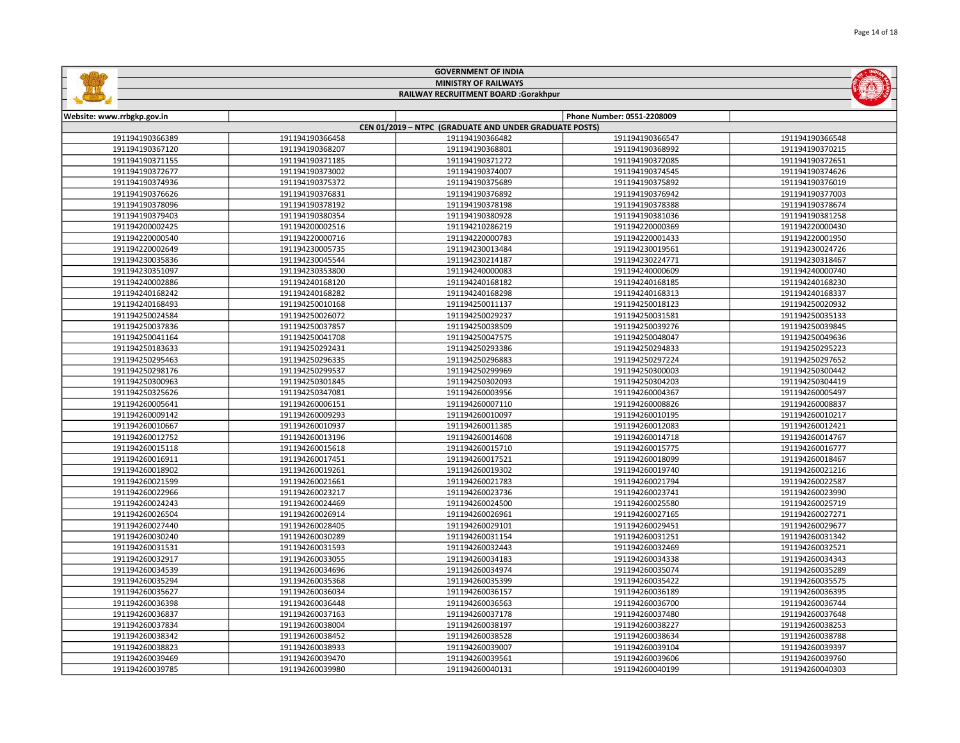|                 |                 | <b>GOVERNMENT OF INDIA</b>                             |                            |                 |
|-----------------|-----------------|--------------------------------------------------------|----------------------------|-----------------|
|                 |                 | <b>MINISTRY OF RAILWAYS</b>                            |                            |                 |
|                 |                 | RAILWAY RECRUITMENT BOARD :Gorakhpur                   |                            |                 |
|                 |                 |                                                        |                            |                 |
| w.rrbgkp.gov.in |                 |                                                        | Phone Number: 0551-2208009 |                 |
|                 |                 | CEN 01/2019 - NTPC (GRADUATE AND UNDER GRADUATE POSTS) |                            |                 |
| 191194190366389 | 191194190366458 | 191194190366482                                        | 191194190366547            | 191194190366548 |
| 191194190367120 | 191194190368207 | 191194190368801                                        | 191194190368992            | 191194190370215 |
| 191194190371155 | 191194190371185 | 191194190371272                                        | 191194190372085            | 191194190372651 |
| 191194190372677 | 191194190373002 | 191194190374007                                        | 191194190374545            | 191194190374626 |
| 191194190374936 | 191194190375372 | 191194190375689                                        | 191194190375892            | 191194190376019 |
| 191194190376626 | 191194190376831 | 191194190376892                                        | 191194190376942            | 191194190377003 |
| 191194190378096 | 191194190378192 | 191194190378198                                        | 191194190378388            | 191194190378674 |
| 191194190379403 | 191194190380354 | 191194190380928                                        | 191194190381036            | 191194190381258 |
| 191194200002425 | 191194200002516 | 191194210286219                                        | 191194220000369            | 191194220000430 |
| 191194220000540 | 191194220000716 | 191194220000783                                        | 191194220001433            | 191194220001950 |
| 191194220002649 | 191194230005735 | 191194230013484                                        | 191194230019561            | 191194230024726 |
| 191194230035836 | 191194230045544 | 191194230214187                                        | 191194230224771            | 191194230318467 |
| 191194230351097 | 191194230353800 | 191194240000083                                        | 191194240000609            | 191194240000740 |
| 191194240002886 | 191194240168120 | 191194240168182                                        | 191194240168185            | 191194240168230 |
| 191194240168242 | 191194240168282 | 191194240168298                                        | 191194240168313            | 191194240168337 |
| 191194240168493 | 191194250010168 | 191194250011137                                        | 191194250018123            | 191194250020932 |
| 191194250024584 | 191194250026072 | 191194250029237                                        | 191194250031581            | 191194250035133 |
| 191194250037836 | 191194250037857 | 191194250038509                                        | 191194250039276            | 191194250039845 |
| 191194250041164 | 191194250041708 | 191194250047575                                        | 191194250048047            | 191194250049636 |
| 191194250183633 | 191194250292431 | 191194250293386                                        | 191194250294833            | 191194250295223 |
| 191194250295463 | 191194250296335 | 191194250296883                                        | 191194250297224            | 191194250297652 |
| 191194250298176 | 191194250299537 | 191194250299969                                        | 191194250300003            | 191194250300442 |
| 191194250300963 | 191194250301845 | 191194250302093                                        | 191194250304203            | 191194250304419 |
|                 |                 |                                                        |                            |                 |

| 191194230035836 | 191194230045544 | 191194230214187 | 191194230224771 | 191194230318467 |
|-----------------|-----------------|-----------------|-----------------|-----------------|
| 191194230351097 | 191194230353800 | 191194240000083 | 191194240000609 | 191194240000740 |
| 191194240002886 | 191194240168120 | 191194240168182 | 191194240168185 | 191194240168230 |
| 191194240168242 | 191194240168282 | 191194240168298 | 191194240168313 | 191194240168337 |
| 191194240168493 | 191194250010168 | 191194250011137 | 191194250018123 | 191194250020932 |
| 191194250024584 | 191194250026072 | 191194250029237 | 191194250031581 | 191194250035133 |
| 191194250037836 | 191194250037857 | 191194250038509 | 191194250039276 | 191194250039845 |
| 191194250041164 | 191194250041708 | 191194250047575 | 191194250048047 | 191194250049636 |
| 191194250183633 | 191194250292431 | 191194250293386 | 191194250294833 | 191194250295223 |
| 191194250295463 | 191194250296335 | 191194250296883 | 191194250297224 | 191194250297652 |
| 191194250298176 | 191194250299537 | 191194250299969 | 191194250300003 | 191194250300442 |
| 191194250300963 | 191194250301845 | 191194250302093 | 191194250304203 | 191194250304419 |
| 191194250325626 | 191194250347081 | 191194260003956 | 191194260004367 | 191194260005497 |
| 191194260005641 | 191194260006151 | 191194260007110 | 191194260008826 | 191194260008837 |
| 191194260009142 | 191194260009293 | 191194260010097 | 191194260010195 | 191194260010217 |
| 191194260010667 | 191194260010937 | 191194260011385 | 191194260012083 | 191194260012421 |
| 191194260012752 | 191194260013196 | 191194260014608 | 191194260014718 | 191194260014767 |
| 191194260015118 | 191194260015618 | 191194260015710 | 191194260015775 | 191194260016777 |
| 191194260016911 | 191194260017451 | 191194260017521 | 191194260018099 | 191194260018467 |
| 191194260018902 | 191194260019261 | 191194260019302 | 191194260019740 | 191194260021216 |
| 191194260021599 | 191194260021661 | 191194260021783 | 191194260021794 | 191194260022587 |
| 191194260022966 | 191194260023217 | 191194260023736 | 191194260023741 | 191194260023990 |
| 191194260024243 | 191194260024469 | 191194260024500 | 191194260025580 | 191194260025719 |
| 191194260026504 | 191194260026914 | 191194260026961 | 191194260027165 | 191194260027271 |
| 191194260027440 | 191194260028405 | 191194260029101 | 191194260029451 | 191194260029677 |
| 191194260030240 | 191194260030289 | 191194260031154 | 191194260031251 | 191194260031342 |
| 191194260031531 | 191194260031593 | 191194260032443 | 191194260032469 | 191194260032521 |
| 191194260032917 | 191194260033055 | 191194260034183 | 191194260034338 | 191194260034343 |
| 191194260034539 | 191194260034696 | 191194260034974 | 191194260035074 | 191194260035289 |
| 191194260035294 | 191194260035368 | 191194260035399 | 191194260035422 | 191194260035575 |
| 191194260035627 | 191194260036034 | 191194260036157 | 191194260036189 | 191194260036395 |
| 191194260036398 | 191194260036448 | 191194260036563 | 191194260036700 | 191194260036744 |
| 191194260036837 | 191194260037163 | 191194260037178 | 191194260037480 | 191194260037648 |
| 191194260037834 | 191194260038004 | 191194260038197 | 191194260038227 | 191194260038253 |
| 191194260038342 | 191194260038452 | 191194260038528 | 191194260038634 | 191194260038788 |
| 191194260038823 | 191194260038933 | 191194260039007 | 191194260039104 | 191194260039397 |
| 191194260039469 | 191194260039470 | 191194260039561 | 191194260039606 | 191194260039760 |
| 191194260039785 | 191194260039980 | 191194260040131 | 191194260040199 | 191194260040303 |
|                 |                 |                 |                 |                 |



Website: www.rrbgkp.gov.in

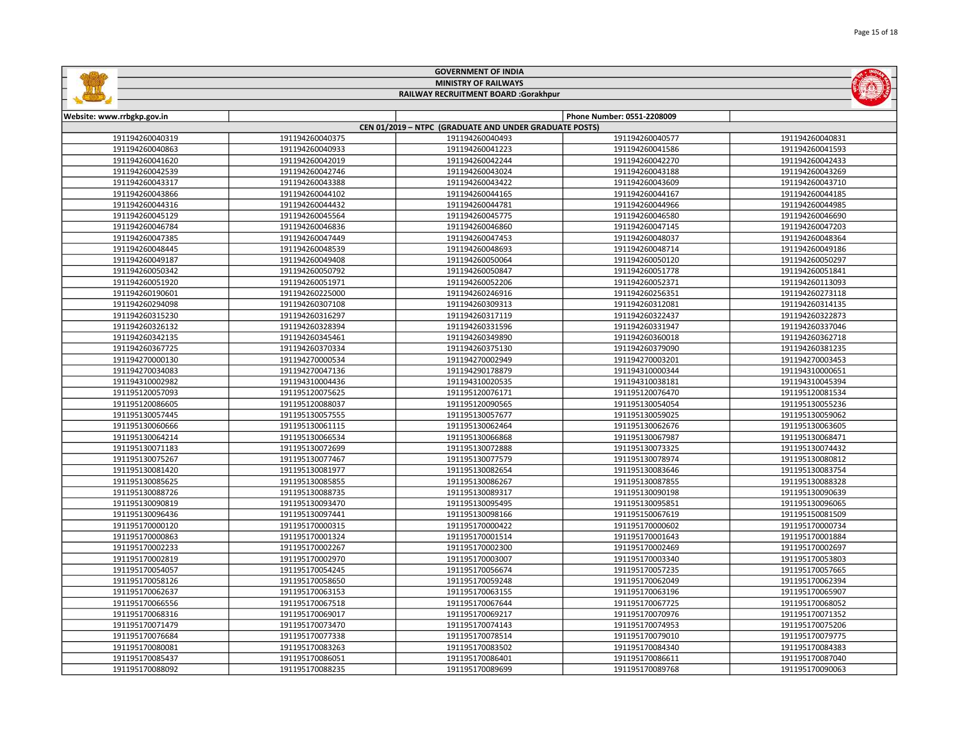|  | Page 15 of 18 |
|--|---------------|
|  |               |
|  |               |



## GOVERNMENT OF INDIA MINISTRY OF RAILWAYS RAILWAY RECRUITMENT BOARD :Gorakhpur

| Website: www.rrbgkp.gov.in |                 |                                                        | Phone Number: 0551-2208009 |                 |
|----------------------------|-----------------|--------------------------------------------------------|----------------------------|-----------------|
|                            |                 | CEN 01/2019 - NTPC (GRADUATE AND UNDER GRADUATE POSTS) |                            |                 |
| 191194260040319            | 191194260040375 | 191194260040493                                        | 191194260040577            | 191194260040831 |
| 191194260040863            | 191194260040933 | 191194260041223                                        | 191194260041586            | 191194260041593 |
| 191194260041620            | 191194260042019 | 191194260042244                                        | 191194260042270            | 191194260042433 |
| 191194260042539            | 191194260042746 | 191194260043024                                        | 191194260043188            | 191194260043269 |
| 191194260043317            | 191194260043388 | 191194260043422                                        | 191194260043609            | 191194260043710 |
| 191194260043866            | 191194260044102 | 191194260044165                                        | 191194260044167            | 191194260044185 |
| 191194260044316            | 191194260044432 | 191194260044781                                        | 191194260044966            | 191194260044985 |
| 191194260045129            | 191194260045564 | 191194260045775                                        | 191194260046580            | 191194260046690 |
| 191194260046784            | 191194260046836 | 191194260046860                                        | 191194260047145            | 191194260047203 |
| 191194260047385            | 191194260047449 | 191194260047453                                        | 191194260048037            | 191194260048364 |
| 191194260048445            | 191194260048539 | 191194260048693                                        | 191194260048714            | 191194260049186 |
| 191194260049187            | 191194260049408 | 191194260050064                                        | 191194260050120            | 191194260050297 |
| 191194260050342            | 191194260050792 | 191194260050847                                        | 191194260051778            | 191194260051841 |
| 191194260051920            | 191194260051971 | 191194260052206                                        | 191194260052371            | 191194260113093 |
| 191194260190601            | 191194260225000 | 191194260246916                                        | 191194260256351            | 191194260273118 |
| 191194260294098            | 191194260307108 | 191194260309313                                        | 191194260312081            | 191194260314135 |
| 191194260315230            | 191194260316297 | 191194260317119                                        | 191194260322437            | 191194260322873 |
| 191194260326132            | 191194260328394 | 191194260331596                                        | 191194260331947            | 191194260337046 |
| 191194260342135            | 191194260345461 | 191194260349890                                        | 191194260360018            | 191194260362718 |
| 191194260367725            | 191194260370334 | 191194260375130                                        | 191194260379090            | 191194260381235 |
| 191194270000130            | 191194270000534 | 191194270002949                                        | 191194270003201            | 191194270003453 |
| 191194270034083            | 191194270047136 | 191194290178879                                        | 191194310000344            | 191194310000651 |
| 191194310002982            | 191194310004436 | 191194310020535                                        | 191194310038181            | 191194310045394 |
| 191195120057093            | 191195120075625 | 191195120076171                                        | 191195120076470            | 191195120081534 |
| 191195120086605            | 191195120088037 | 191195120090565                                        | 191195130054054            | 191195130055236 |
| 191195130057445            | 191195130057555 | 191195130057677                                        | 191195130059025            | 191195130059062 |
| 191195130060666            | 191195130061115 | 191195130062464                                        | 191195130062676            | 191195130063605 |
| 191195130064214            | 191195130066534 | 191195130066868                                        | 191195130067987            | 191195130068471 |
| 191195130071183            | 191195130072699 | 191195130072888                                        | 191195130073325            | 191195130074432 |
| 191195130075267            | 191195130077467 | 191195130077579                                        | 191195130078974            | 191195130080812 |
| 191195130081420            | 191195130081977 | 191195130082654                                        | 191195130083646            | 191195130083754 |
| 191195130085625            | 191195130085855 | 191195130086267                                        | 191195130087855            | 191195130088328 |
| 191195130088726            | 191195130088735 | 191195130089317                                        | 191195130090198            | 191195130090639 |
| 191195130090819            | 191195130093470 | 191195130095495                                        | 191195130095851            | 191195130096065 |
| 191195130096436            | 191195130097441 | 191195130098166                                        | 191195150067619            | 191195150081509 |
| 191195170000120            | 191195170000315 | 191195170000422                                        | 191195170000602            | 191195170000734 |
| 191195170000863            | 191195170001324 | 191195170001514                                        | 191195170001643            | 191195170001884 |
| 191195170002233            | 191195170002267 | 191195170002300                                        | 191195170002469            | 191195170002697 |
| 191195170002819            | 191195170002970 | 191195170003007                                        | 191195170003340            | 191195170053803 |
| 191195170054057            | 191195170054245 | 191195170056674                                        | 191195170057235            | 191195170057665 |
| 191195170058126            | 191195170058650 | 191195170059248                                        | 191195170062049            | 191195170062394 |
| 191195170062637            | 191195170063153 | 191195170063155                                        | 191195170063196            | 191195170065907 |
| 191195170066556            | 191195170067518 | 191195170067644                                        | 191195170067725            | 191195170068052 |
| 191195170068316            | 191195170069017 | 191195170069217                                        | 191195170070976            | 191195170071352 |
| 191195170071479            | 191195170073470 | 191195170074143                                        | 191195170074953            | 191195170075206 |
| 191195170076684            | 191195170077338 | 191195170078514                                        | 191195170079010            | 191195170079775 |
| 191195170080081            | 191195170083263 | 191195170083502                                        | 191195170084340            | 191195170084383 |
| 191195170085437            | 191195170086051 | 191195170086401                                        | 191195170086611            | 191195170087040 |
| 191195170088092            | 191195170088235 | 191195170089699                                        | 191195170089768            | 191195170090063 |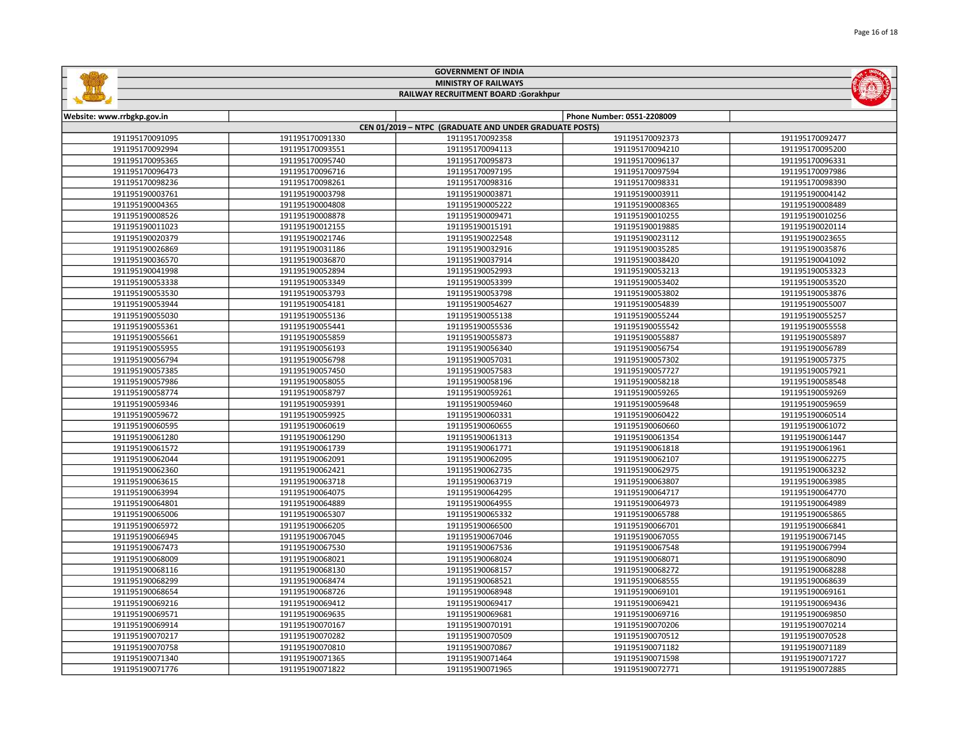|                                                |                            | $1.484 + 0.01 + 0.00$ |
|------------------------------------------------|----------------------------|-----------------------|
|                                                |                            |                       |
|                                                |                            |                       |
| <b>GOVERNMENT OF INDIA</b>                     |                            |                       |
| <b>MINISTRY OF RAILWAYS</b>                    |                            |                       |
| RAILWAY RECRUITMENT BOARD :Gorakhpur           |                            |                       |
|                                                |                            |                       |
|                                                | Phone Number: 0551-2208009 |                       |
| 019 - NTPC (GRADUATE AND UNDER GRADUATE POSTS) |                            |                       |
| 191195170092358                                | 191195170092373            | 191195170092477       |
| 191195170094113                                | 191195170094210            | 191195170095200       |
| 191195170095873                                | 191195170096137            | 191195170096331       |
| 191195170097195                                | 191195170097594            | 191195170097986       |
| 191195170098316                                | 191195170098331            | 191195170098390       |

| CEN 01/2019 - NTPC (GRADUATE AND UNDER GRADUATE POSTS) |                 |                 |                 |                 |  |
|--------------------------------------------------------|-----------------|-----------------|-----------------|-----------------|--|
| 191195170091095                                        | 191195170091330 | 191195170092358 | 191195170092373 | 191195170092477 |  |
| 191195170092994                                        | 191195170093551 | 191195170094113 | 191195170094210 | 191195170095200 |  |
| 191195170095365                                        | 191195170095740 | 191195170095873 | 191195170096137 | 191195170096331 |  |
| 191195170096473                                        | 191195170096716 | 191195170097195 | 191195170097594 | 191195170097986 |  |
| 191195170098236                                        | 191195170098261 | 191195170098316 | 191195170098331 | 191195170098390 |  |
| 191195190003761                                        | 191195190003798 | 191195190003871 | 191195190003911 | 191195190004142 |  |
| 191195190004365                                        | 191195190004808 | 191195190005222 | 191195190008365 | 191195190008489 |  |
| 191195190008526                                        | 191195190008878 | 191195190009471 | 191195190010255 | 191195190010256 |  |
| 191195190011023                                        | 191195190012155 | 191195190015191 | 191195190019885 | 191195190020114 |  |
| 191195190020379                                        | 191195190021746 | 191195190022548 | 191195190023112 | 191195190023655 |  |
| 191195190026869                                        | 191195190031186 | 191195190032916 | 191195190035285 | 191195190035876 |  |
| 191195190036570                                        | 191195190036870 | 191195190037914 | 191195190038420 | 191195190041092 |  |
| 191195190041998                                        | 191195190052894 | 191195190052993 | 191195190053213 | 191195190053323 |  |
| 191195190053338                                        | 191195190053349 | 191195190053399 | 191195190053402 | 191195190053520 |  |
| 191195190053530                                        | 191195190053793 | 191195190053798 | 191195190053802 | 191195190053876 |  |
| 191195190053944                                        | 191195190054181 | 191195190054627 | 191195190054839 | 191195190055007 |  |
| 191195190055030                                        | 191195190055136 | 191195190055138 | 191195190055244 | 191195190055257 |  |
| 191195190055361                                        | 191195190055441 | 191195190055536 | 191195190055542 | 191195190055558 |  |
| 191195190055661                                        | 191195190055859 | 191195190055873 | 191195190055887 | 191195190055897 |  |
| 191195190055955                                        | 191195190056193 | 191195190056340 | 191195190056754 | 191195190056789 |  |
| 191195190056794                                        | 191195190056798 | 191195190057031 | 191195190057302 | 191195190057375 |  |
| 191195190057385                                        | 191195190057450 | 191195190057583 | 191195190057727 | 191195190057921 |  |
| 191195190057986                                        | 191195190058055 | 191195190058196 | 191195190058218 | 191195190058548 |  |
| 191195190058774                                        | 191195190058797 | 191195190059261 | 191195190059265 | 191195190059269 |  |
| 191195190059346                                        | 191195190059391 | 191195190059460 | 191195190059648 | 191195190059659 |  |
| 191195190059672                                        | 191195190059925 | 191195190060331 | 191195190060422 | 191195190060514 |  |
| 191195190060595                                        | 191195190060619 | 191195190060655 | 191195190060660 | 191195190061072 |  |
| 191195190061280                                        | 191195190061290 | 191195190061313 | 191195190061354 | 191195190061447 |  |
| 191195190061572                                        | 191195190061739 | 191195190061771 | 191195190061818 | 191195190061961 |  |
| 191195190062044                                        | 191195190062091 | 191195190062095 | 191195190062107 | 191195190062275 |  |
| 191195190062360                                        | 191195190062421 | 191195190062735 | 191195190062975 | 191195190063232 |  |
| 191195190063615                                        | 191195190063718 | 191195190063719 | 191195190063807 | 191195190063985 |  |
| 191195190063994                                        | 191195190064075 | 191195190064295 | 191195190064717 | 191195190064770 |  |
| 191195190064801                                        | 191195190064889 | 191195190064955 | 191195190064973 | 191195190064989 |  |
| 191195190065006                                        | 191195190065307 | 191195190065332 | 191195190065788 | 191195190065865 |  |
| 191195190065972                                        | 191195190066205 | 191195190066500 | 191195190066701 | 191195190066841 |  |
| 191195190066945                                        | 191195190067045 | 191195190067046 | 191195190067055 | 191195190067145 |  |
| 191195190067473                                        | 191195190067530 | 191195190067536 | 191195190067548 | 191195190067994 |  |
| 191195190068009                                        | 191195190068021 | 191195190068024 | 191195190068071 | 191195190068090 |  |
| 191195190068116                                        | 191195190068130 | 191195190068157 | 191195190068272 | 191195190068288 |  |
| 191195190068299                                        | 191195190068474 | 191195190068521 | 191195190068555 | 191195190068639 |  |
| 191195190068654                                        | 191195190068726 | 191195190068948 | 191195190069101 | 191195190069161 |  |
| 191195190069216                                        | 191195190069412 | 191195190069417 | 191195190069421 | 191195190069436 |  |
| 191195190069571                                        | 191195190069635 | 191195190069681 | 191195190069716 | 191195190069850 |  |
| 191195190069914                                        | 191195190070167 | 191195190070191 | 191195190070206 | 191195190070214 |  |
| 191195190070217                                        | 191195190070282 | 191195190070509 | 191195190070512 | 191195190070528 |  |
| 191195190070758                                        | 191195190070810 | 191195190070867 | 191195190071182 | 191195190071189 |  |
| 191195190071340                                        | 191195190071365 | 191195190071464 | 191195190071598 | 191195190071727 |  |
| 191195190071776                                        | 191195190071822 | 191195190071965 | 191195190072771 | 191195190072885 |  |

Website: www.rrbgkp.gov.in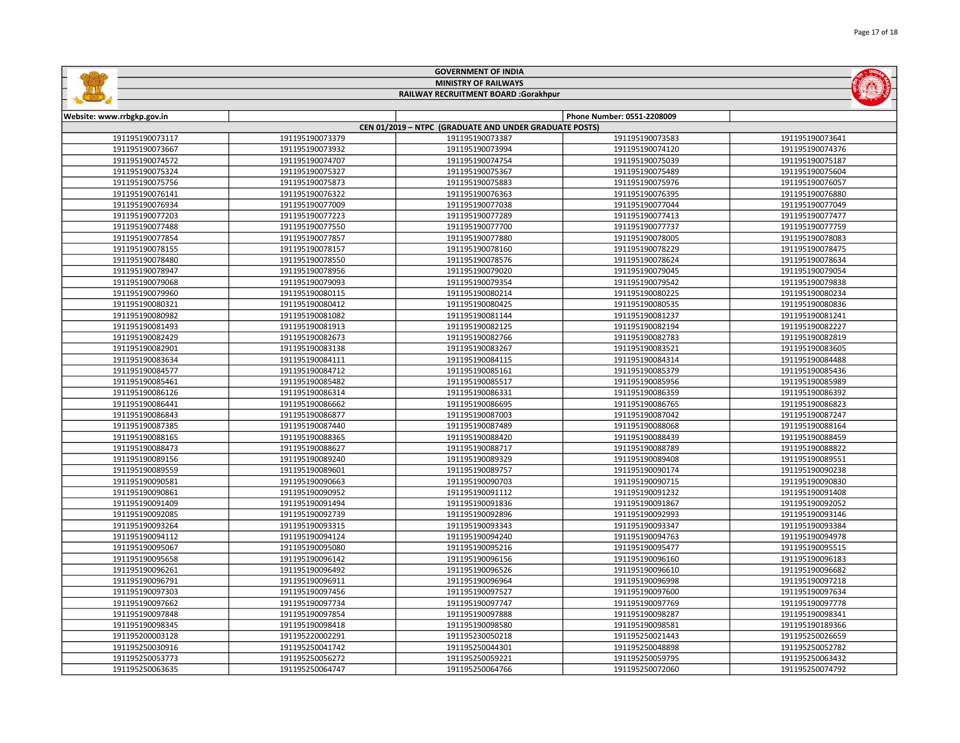| Page 17 of 18 |
|---------------|
|               |

**MARINEZIA** 

| <b>MINISTRY OF RAILWAYS</b>          |                 |                                                        |                            |                 |
|--------------------------------------|-----------------|--------------------------------------------------------|----------------------------|-----------------|
| RAILWAY RECRUITMENT BOARD :Gorakhpur |                 |                                                        |                            |                 |
|                                      |                 |                                                        |                            |                 |
| Website: www.rrbgkp.gov.in           |                 | CEN 01/2019 - NTPC (GRADUATE AND UNDER GRADUATE POSTS) | Phone Number: 0551-2208009 |                 |
| 191195190073117                      | 191195190073379 | 191195190073387                                        | 191195190073583            | 191195190073641 |
| 191195190073667                      | 191195190073932 | 191195190073994                                        | 191195190074120            | 191195190074376 |
| 191195190074572                      | 191195190074707 | 191195190074754                                        | 191195190075039            | 191195190075187 |
| 191195190075324                      | 191195190075327 | 191195190075367                                        | 191195190075489            | 191195190075604 |
| 191195190075756                      | 191195190075873 | 191195190075883                                        | 191195190075976            | 191195190076057 |
| 191195190076141                      | 191195190076322 | 191195190076363                                        | 191195190076395            | 191195190076880 |
| 191195190076934                      | 191195190077009 | 191195190077038                                        | 191195190077044            | 191195190077049 |
| 191195190077203                      | 191195190077223 | 191195190077289                                        | 191195190077413            | 191195190077477 |
| 191195190077488                      | 191195190077550 | 191195190077700                                        | 191195190077737            | 191195190077759 |
| 191195190077854                      | 191195190077857 | 191195190077880                                        | 191195190078005            | 191195190078083 |
| 191195190078155                      | 191195190078157 | 191195190078160                                        | 191195190078229            | 191195190078475 |
| 191195190078480                      | 191195190078550 | 191195190078576                                        | 191195190078624            | 191195190078634 |
| 191195190078947                      | 191195190078956 | 191195190079020                                        | 191195190079045            | 191195190079054 |
| 191195190079068                      | 191195190079093 | 191195190079354                                        | 191195190079542            | 191195190079838 |
| 191195190079960                      | 191195190080115 | 191195190080214                                        | 191195190080225            | 191195190080234 |
| 191195190080321                      | 191195190080412 | 191195190080425                                        | 191195190080535            | 191195190080836 |
| 191195190080982                      | 191195190081082 | 191195190081144                                        | 191195190081237            | 191195190081241 |
| 191195190081493                      | 191195190081913 | 191195190082125                                        | 191195190082194            | 191195190082227 |
| 191195190082429                      | 191195190082673 | 191195190082766                                        | 191195190082783            | 191195190082819 |
| 191195190082901                      | 191195190083138 | 191195190083267                                        | 191195190083521            | 191195190083605 |
| 191195190083634                      | 191195190084111 | 191195190084115                                        | 191195190084314            | 191195190084488 |
| 191195190084577                      | 191195190084712 | 191195190085161                                        | 191195190085379            | 191195190085436 |
| 191195190085461                      | 191195190085482 | 191195190085517                                        | 191195190085956            | 191195190085989 |
| 191195190086126                      | 191195190086314 | 191195190086331                                        | 191195190086359            | 191195190086392 |
| 191195190086441                      | 191195190086662 | 191195190086695                                        | 191195190086765            | 191195190086823 |
| 191195190086843                      | 191195190086877 | 191195190087003                                        | 191195190087042            | 191195190087247 |
| 191195190087385                      | 191195190087440 | 191195190087489                                        | 191195190088068            | 191195190088164 |
| 191195190088165                      | 191195190088365 | 191195190088420                                        | 191195190088439            | 191195190088459 |
| 191195190088473                      | 191195190088627 | 191195190088717                                        | 191195190088789            | 191195190088822 |
| 191195190089156                      | 191195190089240 | 191195190089329                                        | 191195190089408            | 191195190089551 |
| 191195190089559                      | 191195190089601 | 191195190089757                                        | 191195190090174            | 191195190090238 |
| 191195190090581                      | 191195190090663 | 191195190090703                                        | 191195190090715            | 191195190090830 |
| 191195190090861                      | 191195190090952 | 191195190091112                                        | 191195190091232            | 191195190091408 |
| 191195190091409                      | 191195190091494 | 191195190091836                                        | 191195190091867            | 191195190092052 |
| 191195190092085                      | 191195190092739 | 191195190092896                                        | 191195190092993            | 191195190093146 |
| 191195190093264                      | 191195190093315 | 191195190093343                                        | 191195190093347            | 191195190093384 |
| 191195190094112                      | 191195190094124 | 191195190094240                                        | 191195190094763            | 191195190094978 |
| 191195190095067                      | 191195190095080 | 191195190095216                                        | 191195190095477            | 191195190095515 |
| 191195190095658                      | 191195190096142 | 191195190096156                                        | 191195190096160            | 191195190096183 |
| 191195190096261                      | 191195190096492 | 191195190096526                                        | 191195190096610            | 191195190096682 |
| 191195190096791                      | 191195190096911 | 191195190096964                                        | 191195190096998            | 191195190097218 |
| 191195190097303                      | 191195190097456 | 191195190097527                                        | 191195190097600            | 191195190097634 |
| 191195190097662                      | 191195190097734 | 191195190097747                                        | 191195190097769            | 191195190097778 |
| 191195190097848                      | 191195190097854 | 191195190097888                                        | 191195190098287            | 191195190098341 |
| 191195190098345                      | 191195190098418 | 191195190098580                                        | 191195190098581            | 191195190189366 |
| 191195200003128                      | 191195220002291 | 191195230050218                                        | 191195250021443            | 191195250026659 |
| 191195250030916                      | 191195250041742 | 191195250044301                                        | 191195250048898            | 191195250052782 |
| 191195250053773                      | 191195250056272 | 191195250059221                                        | 191195250059795            | 191195250063432 |
| 191195250063635                      | 191195250064747 | 191195250064766                                        | 191195250072060            | 191195250074792 |
|                                      |                 |                                                        |                            |                 |

GOVERNMENT OF INDIA

 $\sqrt{2}$